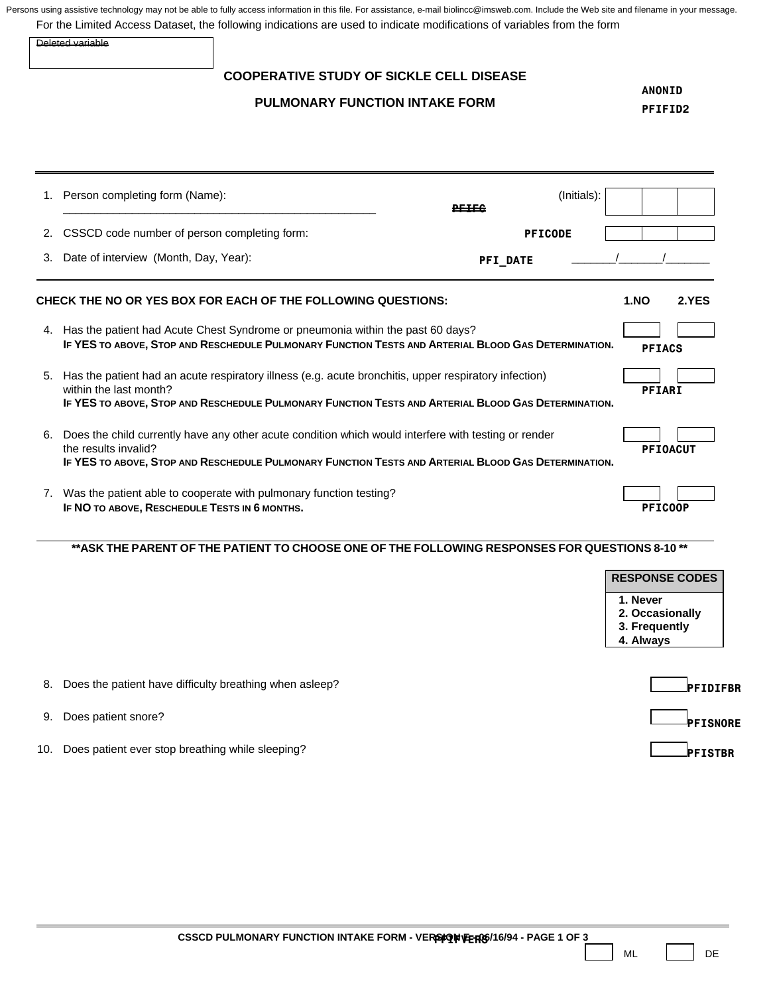|    | Deleted variable                                                                                                                                                                                                                       |                |                                                                                    |
|----|----------------------------------------------------------------------------------------------------------------------------------------------------------------------------------------------------------------------------------------|----------------|------------------------------------------------------------------------------------|
|    | <b>COOPERATIVE STUDY OF SICKLE CELL DISEASE</b>                                                                                                                                                                                        |                |                                                                                    |
|    | <b>PULMONARY FUNCTION INTAKE FORM</b>                                                                                                                                                                                                  |                | <b>ANONID</b><br>PFIFID2                                                           |
|    | 1. Person completing form (Name):                                                                                                                                                                                                      | (Initials):    |                                                                                    |
| 2. | CSSCD code number of person completing form:                                                                                                                                                                                           | <b>PFICODE</b> |                                                                                    |
| 3. | Date of interview (Month, Day, Year):                                                                                                                                                                                                  | PFI_DATE       |                                                                                    |
|    | CHECK THE NO OR YES BOX FOR EACH OF THE FOLLOWING QUESTIONS:                                                                                                                                                                           |                | <b>1.NO</b><br>2.YES                                                               |
|    | 4. Has the patient had Acute Chest Syndrome or pneumonia within the past 60 days?<br>IF YES TO ABOVE, STOP AND RESCHEDULE PULMONARY FUNCTION TESTS AND ARTERIAL BLOOD GAS DETERMINATION.                                               |                | <b>PFIACS</b>                                                                      |
| 5. | Has the patient had an acute respiratory illness (e.g. acute bronchitis, upper respiratory infection)<br>within the last month?<br>IF YES TO ABOVE, STOP AND RESCHEDULE PULMONARY FUNCTION TESTS AND ARTERIAL BLOOD GAS DETERMINATION. |                | <b>PFIARI</b>                                                                      |
| 6. | Does the child currently have any other acute condition which would interfere with testing or render<br>the results invalid?<br>IF YES TO ABOVE, STOP AND RESCHEDULE PULMONARY FUNCTION TESTS AND ARTERIAL BLOOD GAS DETERMINATION.    |                | <b>PFIOACUT</b>                                                                    |
|    | 7. Was the patient able to cooperate with pulmonary function testing?<br>IF NO TO ABOVE, RESCHEDULE TESTS IN 6 MONTHS.                                                                                                                 |                | <b>PFICOOP</b>                                                                     |
|    | ** ASK THE PARENT OF THE PATIENT TO CHOOSE ONE OF THE FOLLOWING RESPONSES FOR QUESTIONS 8-10 **                                                                                                                                        |                |                                                                                    |
|    |                                                                                                                                                                                                                                        |                | <b>RESPONSE CODES</b><br>1. Never<br>2. Occasionally<br>3. Frequently<br>4. Always |
| 8. | Does the patient have difficulty breathing when asleep?                                                                                                                                                                                |                | PFIDIFBR                                                                           |
|    | Does patient snore?                                                                                                                                                                                                                    |                |                                                                                    |
| 9. |                                                                                                                                                                                                                                        |                | <b>PFISNORE</b>                                                                    |

ML DE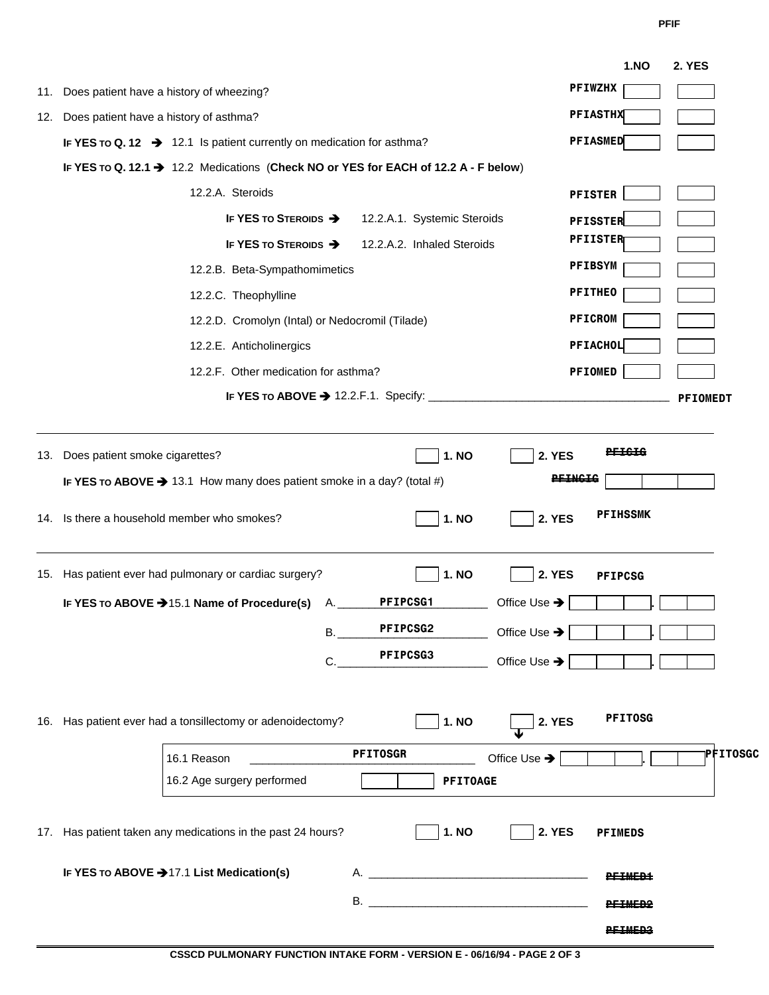**PFIF** 

|     |                                                                                     |                             |                 |                          | <b>1.NO</b>       | <b>2. YES</b>   |
|-----|-------------------------------------------------------------------------------------|-----------------------------|-----------------|--------------------------|-------------------|-----------------|
| 11. | Does patient have a history of wheezing?                                            |                             |                 |                          | <b>PFIWZHX</b>    |                 |
| 12. | Does patient have a history of asthma?                                              |                             |                 |                          | <b>PFIASTHX</b>   |                 |
|     | IF YES To Q. 12 $\rightarrow$ 12.1 Is patient currently on medication for asthma?   |                             |                 |                          | <b>PFIASMED</b>   |                 |
|     | IF YES To Q. 12.1 → 12.2 Medications (Check NO or YES for EACH of 12.2 A - F below) |                             |                 |                          |                   |                 |
|     | 12.2.A. Steroids                                                                    |                             |                 |                          | <b>PFISTER</b>    |                 |
|     | <b>IF YES TO STEROIDS →</b>                                                         | 12.2.A.1. Systemic Steroids |                 |                          | <b>PFISSTER</b>   |                 |
|     | <b>IF YES TO STEROIDS →</b>                                                         | 12.2.A.2. Inhaled Steroids  |                 |                          | <b>PFIISTER</b>   |                 |
|     | 12.2.B. Beta-Sympathomimetics                                                       |                             |                 |                          | <b>PFIBSYM</b>    |                 |
|     | 12.2.C. Theophylline                                                                |                             |                 |                          | <b>PFITHEO</b>    |                 |
|     | 12.2.D. Cromolyn (Intal) or Nedocromil (Tilade)                                     |                             |                 |                          | <b>PFICROM</b>    |                 |
|     | 12.2.E. Anticholinergics                                                            |                             |                 |                          | PFIACHOL          |                 |
|     | 12.2.F. Other medication for asthma?                                                |                             |                 |                          | <b>PFIOMED</b>    |                 |
|     |                                                                                     |                             |                 |                          |                   | <b>PFIOMEDT</b> |
|     |                                                                                     |                             |                 |                          |                   |                 |
|     | 13. Does patient smoke cigarettes?                                                  |                             | 1. NO           | <b>2. YES</b>            | <del>PEIGIG</del> |                 |
|     |                                                                                     |                             |                 |                          |                   |                 |
|     | IF YES TO ABOVE $\rightarrow$ 13.1 How many does patient smoke in a day? (total #)  |                             |                 | <b>PEINGIG</b>           |                   |                 |
|     | 14. Is there a household member who smokes?                                         |                             | <b>1. NO</b>    | <b>2. YES</b>            | <b>PFIHSSMK</b>   |                 |
|     | 15. Has patient ever had pulmonary or cardiac surgery?                              |                             | <b>1. NO</b>    | <b>2. YES</b>            | <b>PFIPCSG</b>    |                 |
|     | IF YES TO ABOVE → 15.1 Name of Procedure(s)<br>А.                                   | PFIPCSG1                    |                 | Office Use →             |                   |                 |
|     | В.                                                                                  | PFIPCSG2                    |                 |                          |                   |                 |
|     |                                                                                     | <b>PFIPCSG3</b>             |                 | Office Use $\rightarrow$ |                   |                 |
|     | С                                                                                   |                             |                 | Office Use $\rightarrow$ |                   |                 |
|     | 16. Has patient ever had a tonsillectomy or adenoidectomy?                          |                             | <b>1. NO</b>    | <b>2. YES</b>            | <b>PFITOSG</b>    |                 |
|     | 16.1 Reason                                                                         | <b>PFITOSGR</b>             |                 | Office Use $\rightarrow$ |                   | PFITOSGC        |
|     | 16.2 Age surgery performed                                                          |                             | <b>PFITOAGE</b> |                          |                   |                 |
|     | 17. Has patient taken any medications in the past 24 hours?                         |                             | <b>1. NO</b>    | <b>2. YES</b>            | <b>PFIMEDS</b>    |                 |
|     | IF YES TO ABOVE → 17.1 List Medication(s)                                           |                             |                 |                          | <b>PEIMED1</b>    |                 |
|     |                                                                                     |                             |                 |                          | <b>PETMED2</b>    |                 |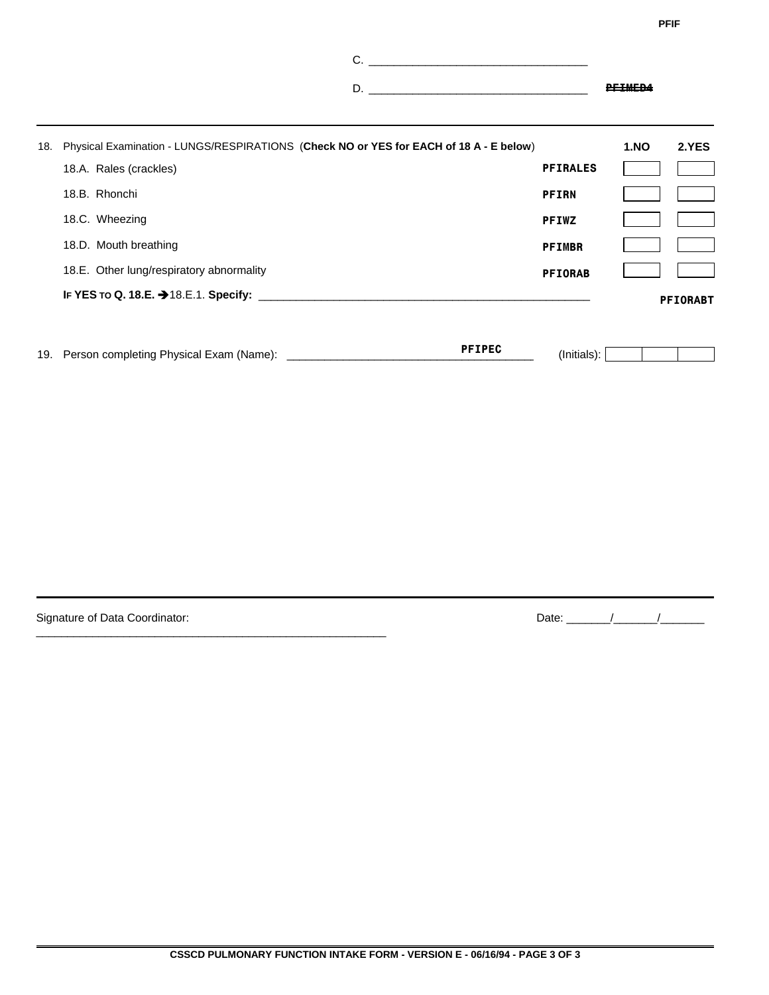**PFIF** 

|                                                                                                                      |                 | <u>PFIMFD4</u> |       |
|----------------------------------------------------------------------------------------------------------------------|-----------------|----------------|-------|
| 18. Physical Examination - LUNGS/RESPIRATIONS (Check NO or YES for EACH of 18 A - E below)<br>18.A. Rales (crackles) | <b>PFIRALES</b> | <b>1.NO</b>    | 2.YES |

| IF YES TO Q. 18.E. → 18.E.1. Specify:    |                | <b>PFIORABT</b> |
|------------------------------------------|----------------|-----------------|
| 18.E. Other lung/respiratory abnormality | <b>PFIORAB</b> |                 |
| 18.D. Mouth breathing                    | <b>PFIMBR</b>  |                 |
| 18.C. Wheezing                           | <b>PFIWZ</b>   |                 |
| 18.B. Rhonchi                            | <b>PFIRN</b>   |                 |
|                                          |                |                 |

| 19 | -xarr<br>שנ.<br>והמוח<br>.)letinr<br>™ IName<br>nvsicar<br>,,,,,<br>. .<br>. | ----<br>DЕ | -Ini<br>als |  |  |  |  |
|----|------------------------------------------------------------------------------|------------|-------------|--|--|--|--|
|----|------------------------------------------------------------------------------|------------|-------------|--|--|--|--|

Signature of Data Coordinator:

\_\_\_\_\_\_\_\_\_\_\_\_\_\_\_\_\_\_\_\_\_\_\_\_\_\_\_\_\_\_\_\_\_\_\_\_\_\_\_\_\_\_\_\_\_\_\_\_\_\_\_\_\_\_\_\_

Date:  $\frac{1}{\sqrt{2\pi}}$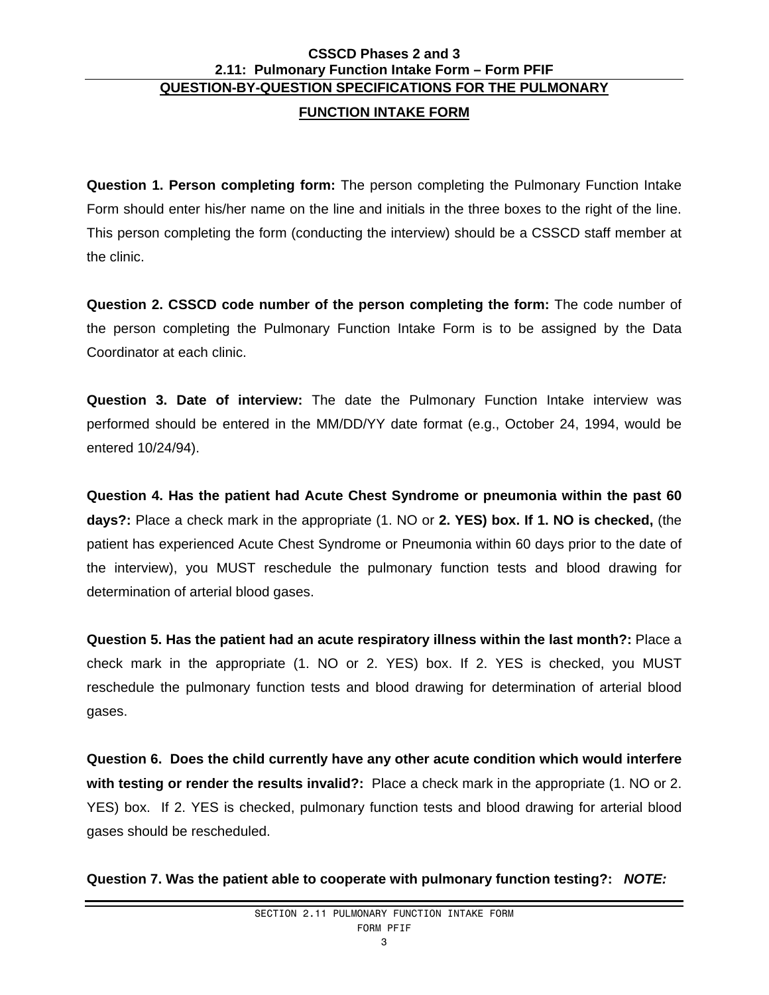# **CSSCD Phases 2 and 3 2.11: Pulmonary Function Intake Form – Form PFIF QUESTION-BY-QUESTION SPECIFICATIONS FOR THE PULMONARY**

# **FUNCTION INTAKE FORM**

**Question 1. Person completing form:** The person completing the Pulmonary Function Intake Form should enter his/her name on the line and initials in the three boxes to the right of the line. This person completing the form (conducting the interview) should be a CSSCD staff member at the clinic.

**Question 2. CSSCD code number of the person completing the form:** The code number of the person completing the Pulmonary Function Intake Form is to be assigned by the Data Coordinator at each clinic.

**Question 3. Date of interview:** The date the Pulmonary Function Intake interview was performed should be entered in the MM/DD/YY date format (e.g., October 24, 1994, would be entered 10/24/94).

**Question 4. Has the patient had Acute Chest Syndrome or pneumonia within the past 60 days?:** Place a check mark in the appropriate (1. NO or **2. YES) box. If 1. NO is checked,** (the patient has experienced Acute Chest Syndrome or Pneumonia within 60 days prior to the date of the interview), you MUST reschedule the pulmonary function tests and blood drawing for determination of arterial blood gases.

**Question 5. Has the patient had an acute respiratory illness within the last month?:** Place a check mark in the appropriate (1. NO or 2. YES) box. If 2. YES is checked, you MUST reschedule the pulmonary function tests and blood drawing for determination of arterial blood gases.

**Question 6. Does the child currently have any other acute condition which would interfere with testing or render the results invalid?:** Place a check mark in the appropriate (1. NO or 2. YES) box. If 2. YES is checked, pulmonary function tests and blood drawing for arterial blood gases should be rescheduled.

**Question 7. Was the patient able to cooperate with pulmonary function testing?:** *NOTE:*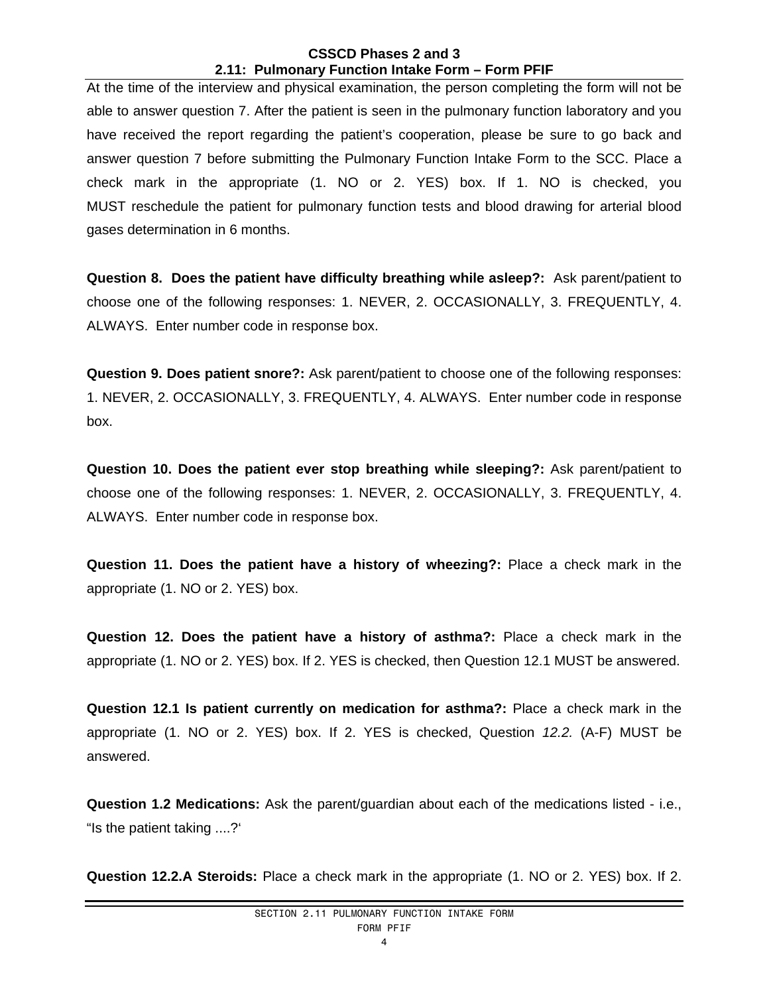## **CSSCD Phases 2 and 3 2.11: Pulmonary Function Intake Form – Form PFIF**

At the time of the interview and physical examination, the person completing the form will not be able to answer question 7. After the patient is seen in the pulmonary function laboratory and you have received the report regarding the patient's cooperation, please be sure to go back and answer question 7 before submitting the Pulmonary Function Intake Form to the SCC. Place a check mark in the appropriate (1. NO or 2. YES) box. If 1. NO is checked, you MUST reschedule the patient for pulmonary function tests and blood drawing for arterial blood gases determination in 6 months.

**Question 8. Does the patient have difficulty breathing while asleep?:** Ask parent/patient to choose one of the following responses: 1. NEVER, 2. OCCASIONALLY, 3. FREQUENTLY, 4. ALWAYS. Enter number code in response box.

**Question 9. Does patient snore?:** Ask parent/patient to choose one of the following responses: 1. NEVER, 2. OCCASIONALLY, 3. FREQUENTLY, 4. ALWAYS. Enter number code in response box.

**Question 10. Does the patient ever stop breathing while sleeping?:** Ask parent/patient to choose one of the following responses: 1. NEVER, 2. OCCASIONALLY, 3. FREQUENTLY, 4. ALWAYS. Enter number code in response box.

**Question 11. Does the patient have a history of wheezing?:** Place a check mark in the appropriate (1. NO or 2. YES) box.

**Question 12. Does the patient have a history of asthma?:** Place a check mark in the appropriate (1. NO or 2. YES) box. If 2. YES is checked, then Question 12.1 MUST be answered.

**Question 12.1 Is patient currently on medication for asthma?:** Place a check mark in the appropriate (1. NO or 2. YES) box. If 2. YES is checked, Question *12.2.* (A-F) MUST be answered.

**Question 1.2 Medications:** Ask the parent/guardian about each of the medications listed - i.e., "Is the patient taking ....?'

**Question 12.2.A Steroids:** Place a check mark in the appropriate (1. NO or 2. YES) box. If 2.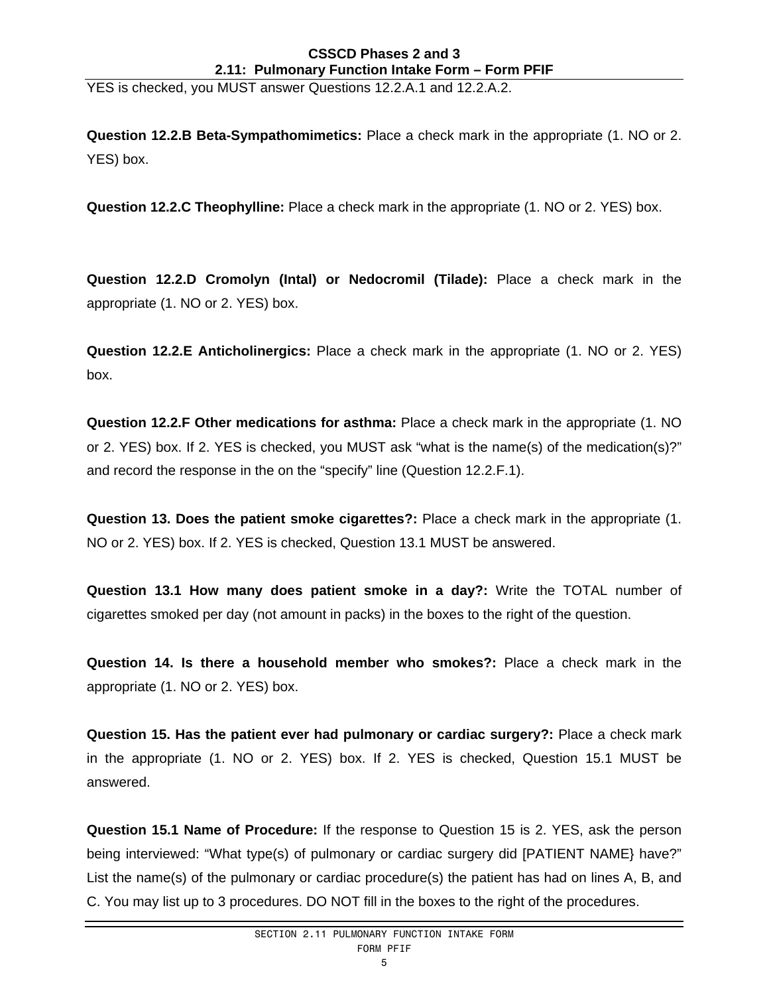## **CSSCD Phases 2 and 3 2.11: Pulmonary Function Intake Form – Form PFIF**

YES is checked, you MUST answer Questions 12.2.A.1 and 12.2.A.2.

**Question 12.2.B Beta-Sympathomimetics:** Place a check mark in the appropriate (1. NO or 2. YES) box.

**Question 12.2.C Theophylline:** Place a check mark in the appropriate (1. NO or 2. YES) box.

**Question 12.2.D Cromolyn (Intal) or Nedocromil (Tilade):** Place a check mark in the appropriate (1. NO or 2. YES) box.

**Question 12.2.E Anticholinergics:** Place a check mark in the appropriate (1. NO or 2. YES) box.

**Question 12.2.F Other medications for asthma:** Place a check mark in the appropriate (1. NO or 2. YES) box. If 2. YES is checked, you MUST ask "what is the name(s) of the medication(s)?" and record the response in the on the "specify" line (Question 12.2.F.1).

**Question 13. Does the patient smoke cigarettes?:** Place a check mark in the appropriate (1. NO or 2. YES) box. If 2. YES is checked, Question 13.1 MUST be answered.

**Question 13.1 How many does patient smoke in a day?:** Write the TOTAL number of cigarettes smoked per day (not amount in packs) in the boxes to the right of the question.

**Question 14. Is there a household member who smokes?:** Place a check mark in the appropriate (1. NO or 2. YES) box.

**Question 15. Has the patient ever had pulmonary or cardiac surgery?:** Place a check mark in the appropriate (1. NO or 2. YES) box. If 2. YES is checked, Question 15.1 MUST be answered.

**Question 15.1 Name of Procedure:** If the response to Question 15 is 2. YES, ask the person being interviewed: "What type(s) of pulmonary or cardiac surgery did [PATIENT NAME} have?" List the name(s) of the pulmonary or cardiac procedure(s) the patient has had on lines A, B, and C. You may list up to 3 procedures. DO NOT fill in the boxes to the right of the procedures.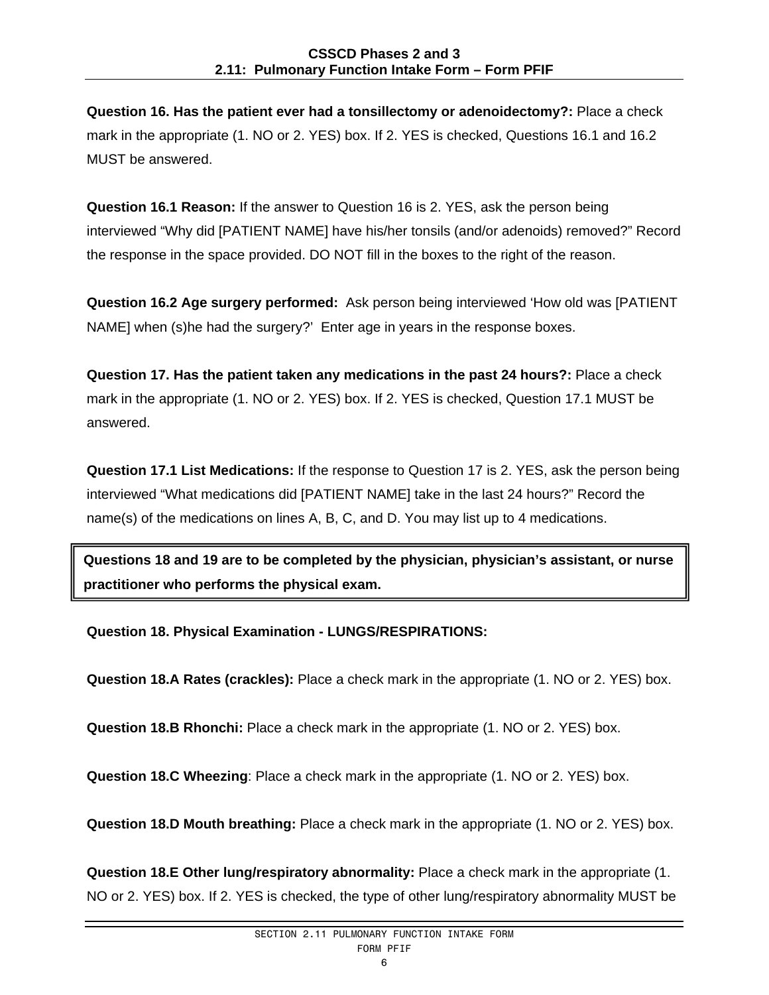**Question 16. Has the patient ever had a tonsillectomy or adenoidectomy?:** Place a check mark in the appropriate (1. NO or 2. YES) box. If 2. YES is checked, Questions 16.1 and 16.2 MUST be answered.

**Question 16.1 Reason:** If the answer to Question 16 is 2. YES, ask the person being interviewed "Why did [PATIENT NAME] have his/her tonsils (and/or adenoids) removed?" Record the response in the space provided. DO NOT fill in the boxes to the right of the reason.

**Question 16.2 Age surgery performed:** Ask person being interviewed 'How old was [PATIENT NAME] when (s)he had the surgery?' Enter age in years in the response boxes.

**Question 17. Has the patient taken any medications in the past 24 hours?:** Place a check mark in the appropriate (1. NO or 2. YES) box. If 2. YES is checked, Question 17.1 MUST be answered.

**Question 17.1 List Medications:** If the response to Question 17 is 2. YES, ask the person being interviewed "What medications did [PATIENT NAME] take in the last 24 hours?" Record the name(s) of the medications on lines A, B, C, and D. You may list up to 4 medications.

**Questions 18 and 19 are to be completed by the physician, physician's assistant, or nurse practitioner who performs the physical exam.** 

**Question 18. Physical Examination - LUNGS/RESPIRATIONS:** 

**Question 18.A Rates (crackles):** Place a check mark in the appropriate (1. NO or 2. YES) box.

**Question 18.B Rhonchi:** Place a check mark in the appropriate (1. NO or 2. YES) box.

**Question 18.C Wheezing**: Place a check mark in the appropriate (1. NO or 2. YES) box.

**Question 18.D Mouth breathing:** Place a check mark in the appropriate (1. NO or 2. YES) box.

**Question 18.E Other lung/respiratory abnormality:** Place a check mark in the appropriate (1. NO or 2. YES) box. If 2. YES is checked, the type of other lung/respiratory abnormality MUST be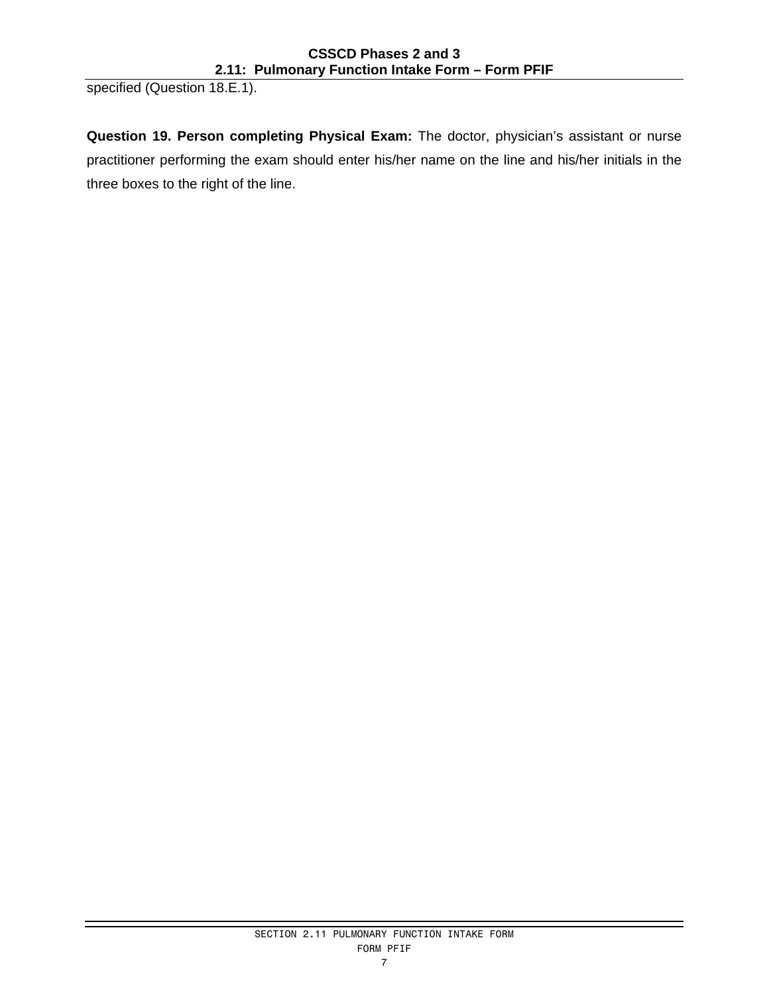specified (Question 18.E.1).

**Question 19. Person completing Physical Exam:** The doctor, physician's assistant or nurse practitioner performing the exam should enter his/her name on the line and his/her initials in the three boxes to the right of the line.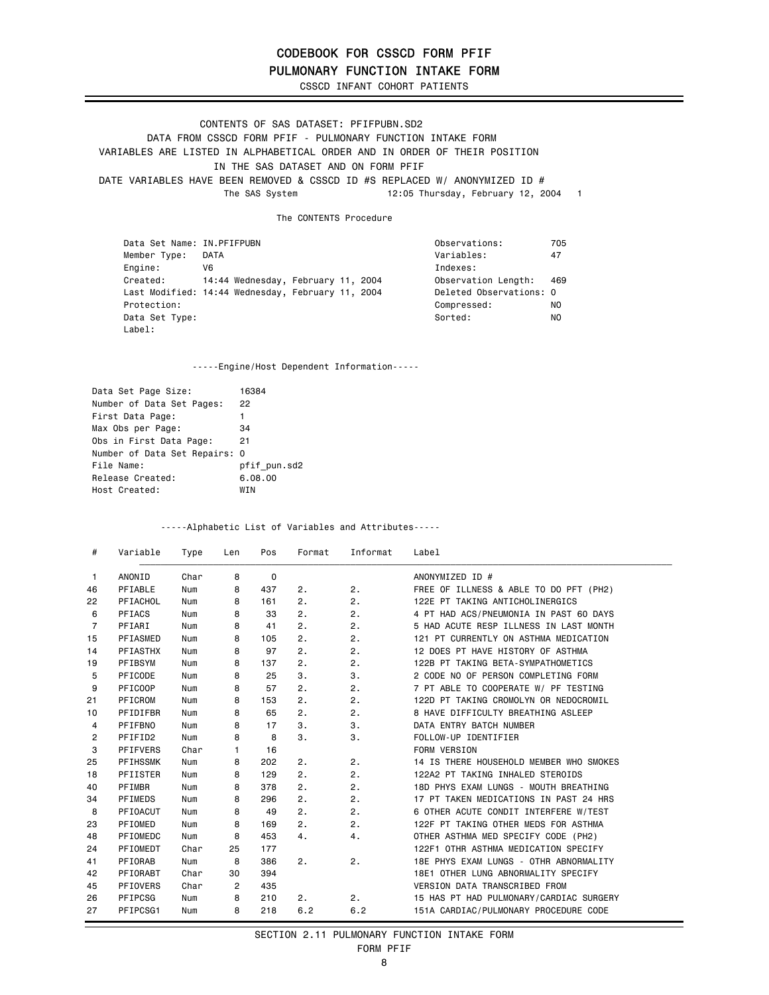PULMONARY FUNCTION INTAKE FORM

CSSCD INFANT COHORT PATIENTS

CONTENTS OF SAS DATASET: PFIFPUBN.SD2 DATA FROM CSSCD FORM PFIF - PULMONARY FUNCTION INTAKE FORM VARIABLES ARE LISTED IN ALPHABETICAL ORDER AND IN ORDER OF THEIR POSITION IN THE SAS DATASET AND ON FORM PFIF DATE VARIABLES HAVE BEEN REMOVED & CSSCD ID #S REPLACED W/ ANONYMIZED ID #<br>The SAS System 12:05 Thursday, February 12, 2 12:05 Thursday, February 12, 2004 1

The CONTENTS Procedure

| Data Set Name: IN.PFIFPUBN |                                                   |  | Observations:           | 705   |
|----------------------------|---------------------------------------------------|--|-------------------------|-------|
| Member Type:               | DATA                                              |  | Variables:              | 47    |
| Engine:                    | V6                                                |  | Indexes:                |       |
| Created:                   | 14:44 Wednesday, February 11, 2004                |  | Observation Length:     | - 469 |
|                            | Last Modified: 14:44 Wednesday, February 11, 2004 |  | Deleted Observations: 0 |       |
| Protection:                |                                                   |  | Compressed:             | NO    |
| Data Set Type:             |                                                   |  | Sorted:                 | NO.   |
| Label:                     |                                                   |  |                         |       |

-----Engine/Host Dependent Information-----

| Data Set Page Size:           | 16384        |
|-------------------------------|--------------|
| Number of Data Set Pages:     | 22           |
| First Data Page:              | 1            |
| Max Obs per Page:             | 34           |
| Obs in First Data Page:       | 21           |
| Number of Data Set Repairs: 0 |              |
| File Name:                    | pfif pun.sd2 |
| Release Created:              | 6.08.00      |
| Host Created:                 | <b>WTN</b>   |

-----Alphabetic List of Variables and Attributes-----

| #              | Variable        | Type | Len            | Pos         | Format | Informat | Label                                   |
|----------------|-----------------|------|----------------|-------------|--------|----------|-----------------------------------------|
| 1              | ANONID          | Char | 8              | $\mathbf 0$ |        |          | ANONYMIZED ID #                         |
| 46             | PFIABLE         | Num  | 8              | 437         | 2.     | 2.       | FREE OF ILLNESS & ABLE TO DO PFT (PH2)  |
| 22             | PFIACHOL        | Num  | 8              | 161         | 2.     | 2.       | 122E PT TAKING ANTICHOLINERGICS         |
| 6              | PFIACS          | Num  | 8              | 33          | 2.     | 2.       | 4 PT HAD ACS/PNEUMONIA IN PAST 60 DAYS  |
| $\overline{7}$ | PFIARI          | Num  | 8              | 41          | 2.     | 2.       | 5 HAD ACUTE RESP ILLNESS IN LAST MONTH  |
| 15             | PFIASMED        | Num  | 8              | 105         | 2.     | 2.       | 121 PT CURRENTLY ON ASTHMA MEDICATION   |
| 14             | <b>PFIASTHX</b> | Num  | 8              | 97          | 2.     | 2.       | 12 DOES PT HAVE HISTORY OF ASTHMA       |
| 19             | PFIBSYM         | Num  | 8              | 137         | 2.     | 2.       | 122B PT TAKING BETA-SYMPATHOMETICS      |
| 5              | PFICODE         | Num  | 8              | 25          | 3.     | 3.       | 2 CODE NO OF PERSON COMPLETING FORM     |
| 9              | PFICOOP         | Num  | 8              | 57          | 2.     | 2.       | 7 PT ABLE TO COOPERATE W/ PF TESTING    |
| 21             | PFICROM         | Num  | 8              | 153         | 2.     | 2.       | 122D PT TAKING CROMOLYN OR NEDOCROMIL   |
| 10             | PFIDIFBR        | Num  | 8              | 65          | 2.     | 2.       | 8 HAVE DIFFICULTY BREATHING ASLEEP      |
| 4              | PFIFBNO         | Num  | 8              | 17          | 3.     | 3.       | DATA ENTRY BATCH NUMBER                 |
| 2              | PFIFID2         | Num  | 8              | 8           | 3.     | 3.       | FOLLOW-UP IDENTIFIER                    |
| 3              | <b>PFIFVERS</b> | Char | 1              | 16          |        |          | <b>FORM VERSION</b>                     |
| 25             | <b>PFIHSSMK</b> | Num  | 8              | 202         | 2.     | 2.       | 14 IS THERE HOUSEHOLD MEMBER WHO SMOKES |
| 18             | PFIISTER        | Num  | 8              | 129         | 2.     | 2.       | 122A2 PT TAKING INHALED STEROIDS        |
| 40             | PFIMBR          | Num  | 8              | 378         | 2.     | 2.       | 18D PHYS EXAM LUNGS - MOUTH BREATHING   |
| 34             | PFIMEDS         | Num  | 8              | 296         | 2.     | 2.       | 17 PT TAKEN MEDICATIONS IN PAST 24 HRS  |
| 8              | PFIOACUT        | Num  | 8              | 49          | 2.     | 2.       | 6 OTHER ACUTE CONDIT INTERFERE W/TEST   |
| 23             | PFIOMED         | Num  | 8              | 169         | 2.     | 2.       | 122F PT TAKING OTHER MEDS FOR ASTHMA    |
| 48             | PFIOMEDC        | Num  | 8              | 453         | 4.     | 4.       | OTHER ASTHMA MED SPECIFY CODE (PH2)     |
| 24             | PFIOMEDT        | Char | 25             | 177         |        |          | 122F1 OTHR ASTHMA MEDICATION SPECIFY    |
| 41             | PFIORAB         | Num  | 8              | 386         | 2.     | 2.       | 18E PHYS EXAM LUNGS - OTHR ABNORMALITY  |
| 42             | PFIORABT        | Char | 30             | 394         |        |          | 18E1 OTHER LUNG ABNORMALITY SPECIFY     |
| 45             | <b>PFIOVERS</b> | Char | $\overline{2}$ | 435         |        |          | <b>VERSION DATA TRANSCRIBED FROM</b>    |
| 26             | PFIPCSG         | Num  | 8              | 210         | 2.     | 2.       | 15 HAS PT HAD PULMONARY/CARDIAC SURGERY |
| 27             | PFIPCSG1        | Num  | 8              | 218         | 6.2    | 6.2      | 151A CARDIAC/PULMONARY PROCEDURE CODE   |

#### SECTION 2.11 PULMONARY FUNCTION INTAKE FORM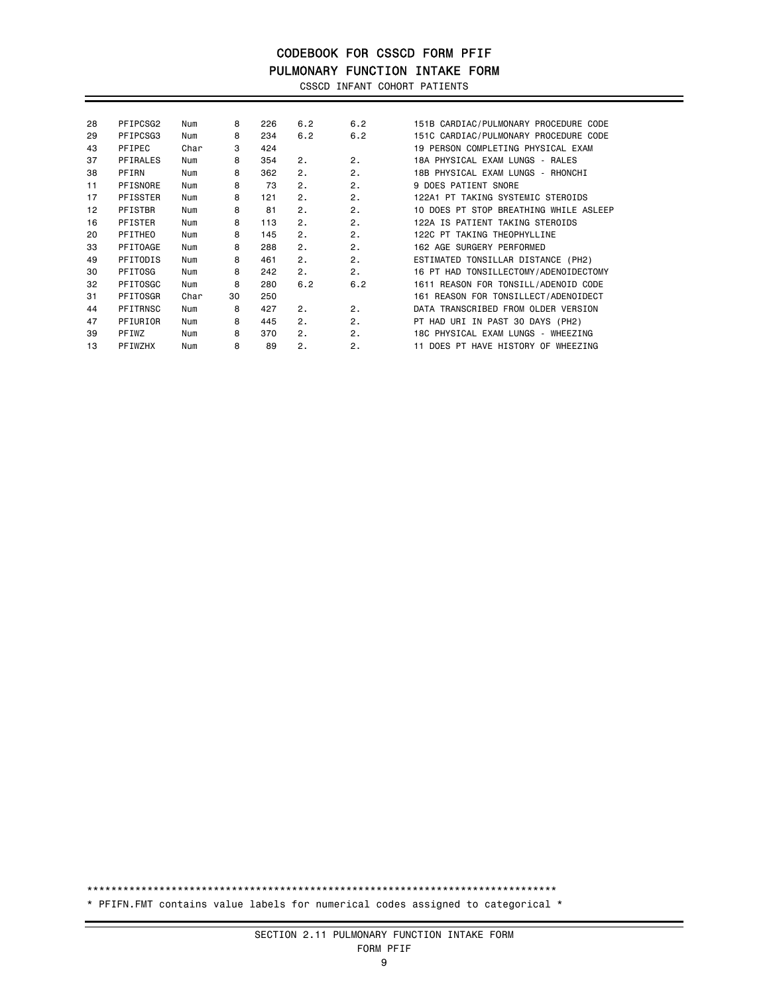## CODEBOOK FOR CSSCD FORM PFIF PULMONARY FUNCTION INTAKE FORM

CSSCD INFANT COHORT PATIENTS

| PFIPCSG2        | Num  | 8  | 226 | 6.2 | 6.2 | 151B CARDIAC/PULMONARY PROCEDURE CODE  |
|-----------------|------|----|-----|-----|-----|----------------------------------------|
| PFIPCSG3        | Num  | 8  | 234 | 6.2 | 6.2 | 151C CARDIAC/PULMONARY PROCEDURE CODE  |
| PFIPEC          | Char | 3  | 424 |     |     | 19 PERSON COMPLETING PHYSICAL EXAM     |
| PFIRALES        | Num  | 8  | 354 | 2.  | 2.  | 18A PHYSICAL EXAM LUNGS - RALES        |
| PFIRN           | Num  | 8  | 362 | 2.  | 2.  | 18B PHYSICAL EXAM LUNGS - RHONCHI      |
| PFISNORE        | Num  | 8  | 73  | 2.  | 2.  | 9 DOES PATIENT SNORE                   |
| <b>PFISSTER</b> | Num  | 8  | 121 | 2.  | 2.  | 122A1 PT TAKING SYSTEMIC STEROIDS      |
| PFISTBR         | Num  | 8  | 81  | 2.  | 2.  | 10 DOES PT STOP BREATHING WHILE ASLEEP |
| PFISTER         | Num  | 8  | 113 | 2.  | 2.  | 122A IS PATIENT TAKING STEROIDS        |
| PFITHEO         | Num  | 8  | 145 | 2.  | 2.  | 122C PT TAKING THEOPHYLLINE            |
| PFITOAGE        | Num  | 8  | 288 | 2.  | 2.  | 162 AGE SURGERY PERFORMED              |
| PFITODIS        | Num  | 8  | 461 | 2.  | 2.  | ESTIMATED TONSILLAR DISTANCE (PH2)     |
| PFITOSG         | Num  | 8  | 242 | 2.  | 2.  | 16 PT HAD TONSILLECTOMY/ADENOIDECTOMY  |
| PFITOSGC        | Num  | 8  | 280 | 6.2 | 6.2 | 1611 REASON FOR TONSILL/ADENOID CODE   |
| PFITOSGR        | Char | 30 | 250 |     |     | 161 REASON FOR TONSILLECT/ADENOIDECT   |
| PFITRNSC        | Num  | 8  | 427 | 2.  | 2.  | DATA TRANSCRIBED FROM OLDER VERSION    |
| PFIURIOR        | Num  | 8  | 445 | 2.  | 2.  | PT HAD URI IN PAST 30 DAYS (PH2)       |
| PFIWZ           | Num  | 8  | 370 | 2.  | 2.  | 18C PHYSICAL EXAM LUNGS - WHEEZING     |
| PFIWZHX         | Num  | 8  | 89  | 2.  | 2.  | DOES PT HAVE HISTORY OF WHEEZING       |
|                 |      |    |     |     |     |                                        |

\*\*\*\*\*\*\*\*\*\*\*\*\*\*\*\*\*\*\*\*\*\*\*\*\*\*\*\*\*\*\*\*\*\*\*\*\*\*\*\*\*\*\*\*\*\*\*\*\*\*\*\*\*\*\*\*\*\*\*\*\*\*\*\*\*\*\*\*\*\*\*\*\*\*\*\*\*\* \* PFIFN.FMT contains value labels for numerical codes assigned to categorical \*

#### SECTION 2.11 PULMONARY FUNCTION INTAKE FORM FORM PFIF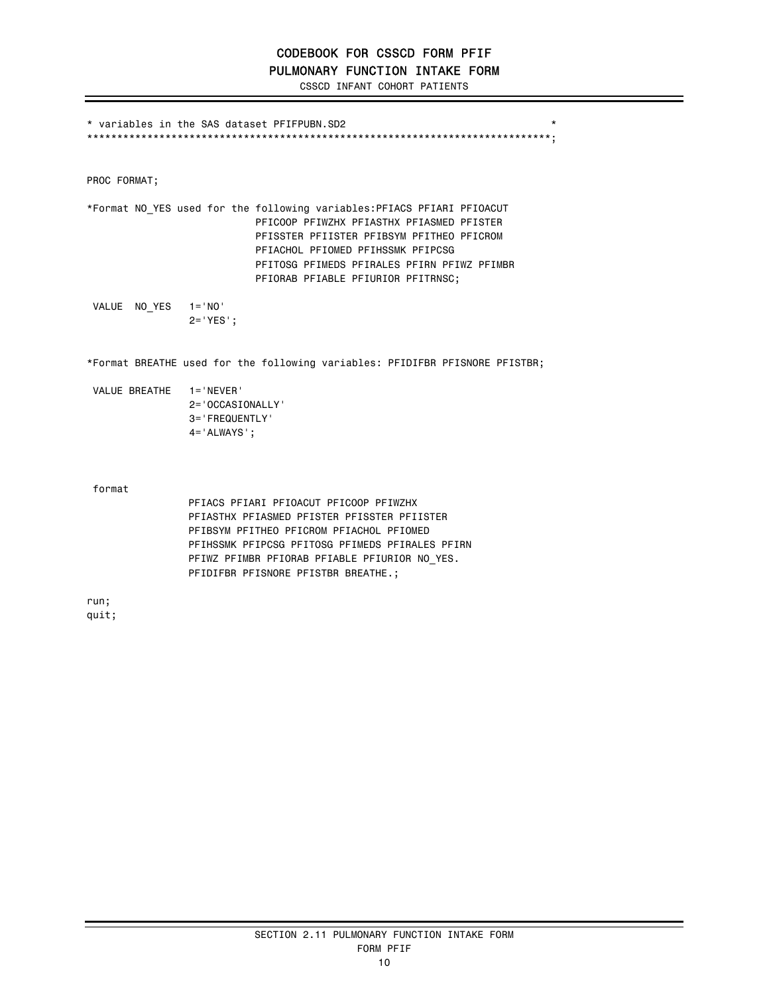## CODEBOOK FOR CSSCD FORM PFIF PULMONARY FUNCTION INTAKE FORM

CSSCD INFANT COHORT PATIENTS

\* variables in the SAS dataset PFIFPUBN.SD2 \* \*\*\*\*\*\*\*\*\*\*\*\*\*\*\*\*\*\*\*\*\*\*\*\*\*\*\*\*\*\*\*\*\*\*\*\*\*\*\*\*\*\*\*\*\*\*\*\*\*\*\*\*\*\*\*\*\*\*\*\*\*\*\*\*\*\*\*\*\*\*\*\*\*\*\*\*\*;

PROC FORMAT;

\*Format NO\_YES used for the following variables:PFIACS PFIARI PFIOACUT PFICOOP PFIWZHX PFIASTHX PFIASMED PFISTER PFISSTER PFIISTER PFIBSYM PFITHEO PFICROM PFIACHOL PFIOMED PFIHSSMK PFIPCSG PFITOSG PFIMEDS PFIRALES PFIRN PFIWZ PFIMBR PFIORAB PFIABLE PFIURIOR PFITRNSC;

 VALUE NO\_YES 1='NO' 2='YES';

\*Format BREATHE used for the following variables: PFIDIFBR PFISNORE PFISTBR;

| VALUE BREATHE | $1 = 'NFWFR'$          |
|---------------|------------------------|
|               | $2 = 0$ CCASIONALLY    |
|               | $3 =$ FREQUENTI Y      |
|               | $4 = 4$ ALWAYS $\cdot$ |

format

PFIACS PFIARI PFIOACUT PFICOOP PFIWZHX PFIASTHX PFIASMED PFISTER PFISSTER PFIISTER PFIBSYM PFITHEO PFICROM PFIACHOL PFIOMED PFIHSSMK PFIPCSG PFITOSG PFIMEDS PFIRALES PFIRN PFIWZ PFIMBR PFIORAB PFIABLE PFIURIOR NO\_YES. PFIDIFBR PFISNORE PFISTBR BREATHE.;

run; quit;

> SECTION 2.11 PULMONARY FUNCTION INTAKE FORM FORM PFIF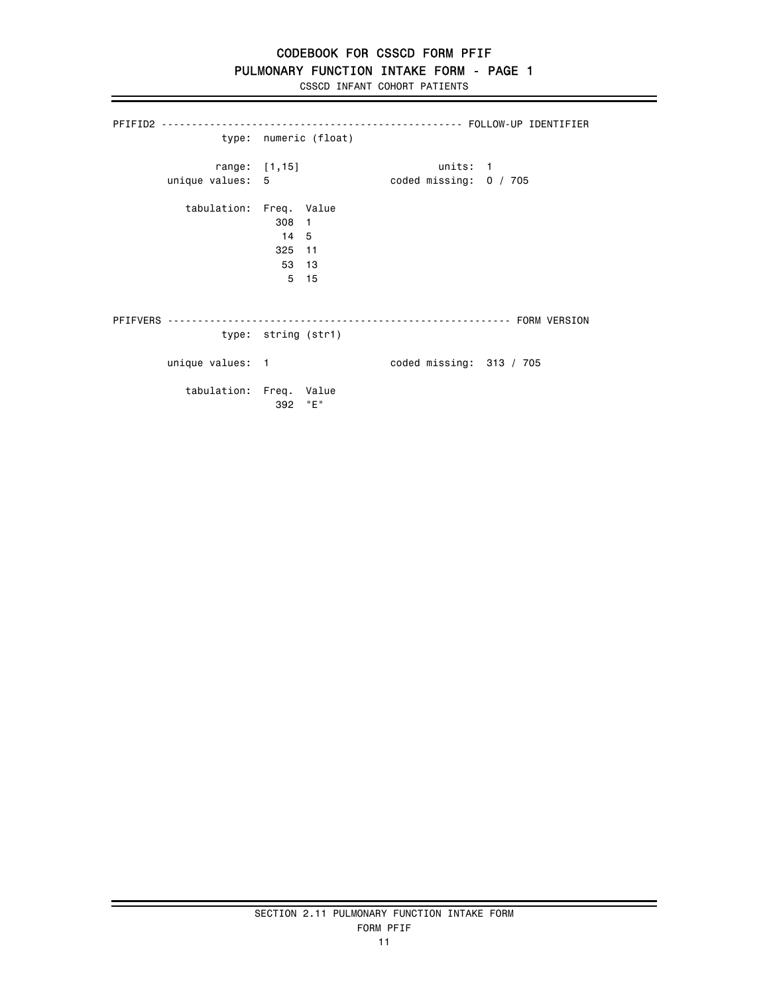## PULMONARY FUNCTION INTAKE FORM - PAGE 1

CSSCD INFANT COHORT PATIENTS

|                                   |                                  | type: numeric (float) |                                    |                            |
|-----------------------------------|----------------------------------|-----------------------|------------------------------------|----------------------------|
| range: [1,15]<br>unique values: 5 |                                  |                       | units: 1<br>coded missing: 0 / 705 |                            |
| tabulation: Freq. Value           | 308 1<br>14 5<br>325 11<br>53 13 | 5 15                  |                                    |                            |
|                                   | type: string (str1)              |                       |                                    |                            |
| unique values: 1                  |                                  |                       |                                    | coded missing: $313 / 705$ |
| tabulation: Freq. Value           | 392                              | "E"                   |                                    |                            |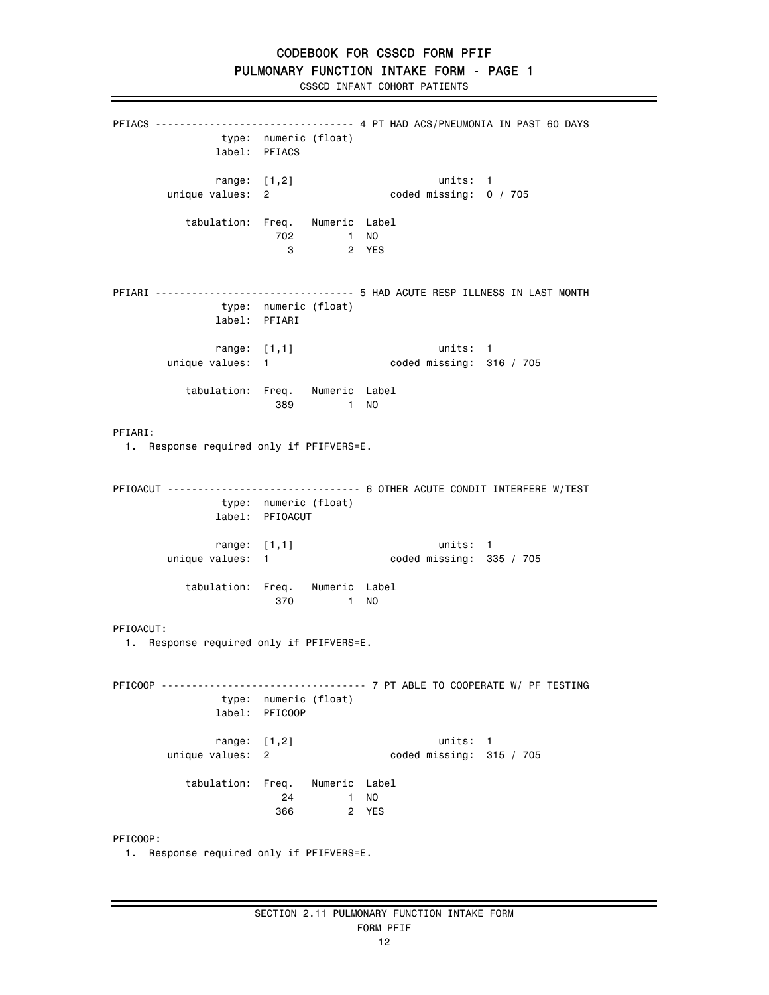PFIACS --------------------------------- 4 PT HAD ACS/PNEUMONIA IN PAST 60 DAYS type: numeric (float) label: PFIACS range: [1,2] units: 1 unique values: 2 coded missing: 0 / 705 tabulation: Freq. Numeric Label 702 1 NO 2 YES PFIARI --------------------------------- 5 HAD ACUTE RESP ILLNESS IN LAST MONTH type: numeric (float) label: PFIARI range: [1,1] units: 1 unique values: 1 coded missing: 316 / 705 tabulation: Freq. Numeric Label 389 1 NO PFIARI: 1. Response required only if PFIFVERS=E. PFIOACUT -------------------------------- 6 OTHER ACUTE CONDIT INTERFERE W/TEST type: numeric (float) label: PFIOACUT range: [1,1] units: 1 unique values: 1 coded missing: 335 / 705 tabulation: Freq. Numeric Label 370 1 NO PFIOACUT: 1. Response required only if PFIFVERS=E. PFICOOP ---------------------------------- 7 PT ABLE TO COOPERATE W/ PF TESTING type: numeric (float) label: PFICOOP range: [1,2] units: 1  $coded$  missing:  $315 / 705$  tabulation: Freq. Numeric Label 24 1 NO 366 2 YES PFICOOP:

1. Response required only if PFIFVERS=E.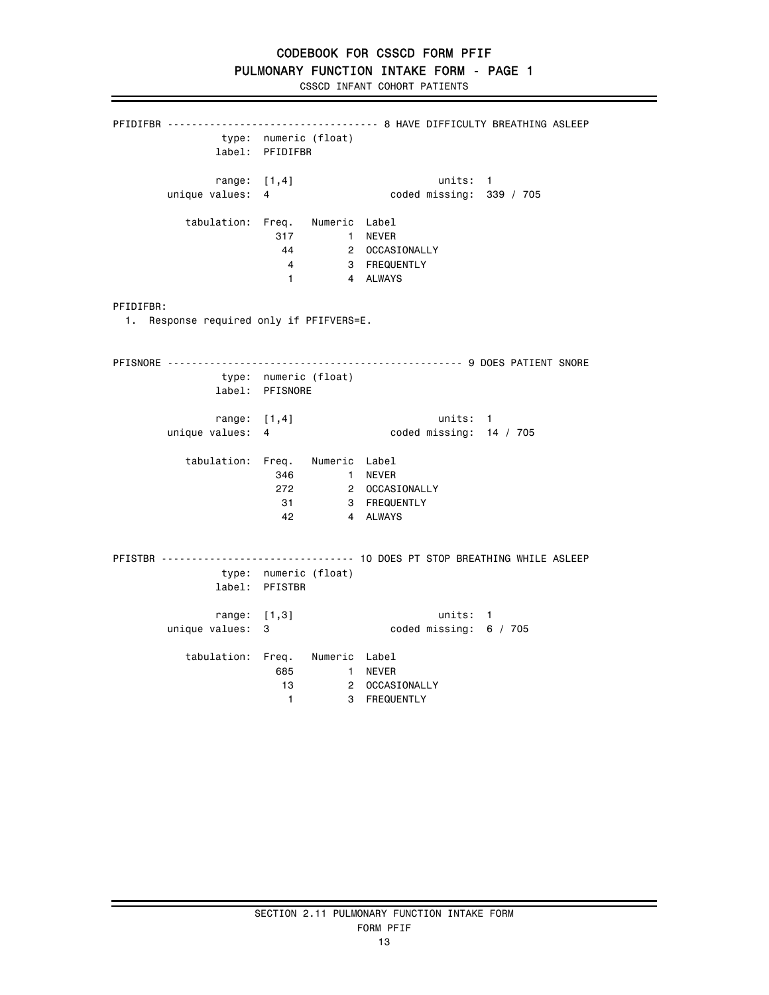CSSCD INFANT COHORT PATIENTS

PFIDIFBR ----------------------------------- 8 HAVE DIFFICULTY BREATHING ASLEEP type: numeric (float) label: PFIDIFBR range: [1,4] units: 1<br>unique values: 4 coded missing: 33 coded missing: 339 / 705 tabulation: Freq. Numeric Label 317 1 NEVER<br>44 2 OCCASIONALLY 44 2 OCCASIONALLY 4 3 FREQUENTLY 1 4 ALWAYS PFIDIFBR: 1. Response required only if PFIFVERS=E. PFISNORE ------------------------------------------------- 9 DOES PATIENT SNORE type: numeric (float) label: PFISNORE range: [1,4] units: 1 unique values: 4 coded missing: 14 / 705 tabulation: Freq. Numeric Label 346 1 NEVER 272 2 OCCASIONALLY **31** 3 FREQUENTLY 42 4 ALWAYS PFISTBR -------------------------------- 10 DOES PT STOP BREATHING WHILE ASLEEP type: numeric (float) label: PFISTBR range: [1,3] units: 1 unique values: 3 coded missing: 6 / 705 tabulation: Freq. Numeric Label 685 1 NEVER 2 OCCASIONALLY 1 3 FREQUENTLY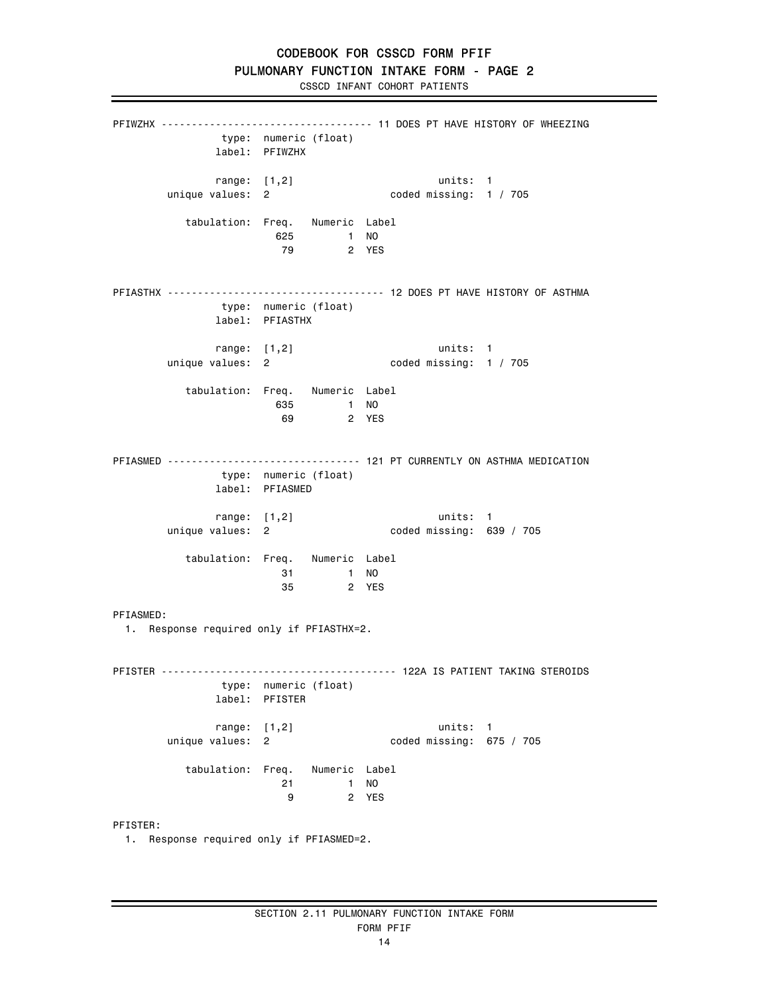PFIWZHX ----------------------------------- 11 DOES PT HAVE HISTORY OF WHEEZING type: numeric (float) label: PFIWZHX range: [1,2] units: 1 unique values: 2 coded missing: 1 / 705 tabulation: Freq. Numeric Label 625 1 NO 2 YES PFIASTHX ------------------------------------ 12 DOES PT HAVE HISTORY OF ASTHMA type: numeric (float) label: PFIASTHX range: [1,2] units: 1 unique values: 2 coded missing: 1 / 705 tabulation: Freq. Numeric Label 635 1 NO 69 2 YES PFIASMED -------------------------------- 121 PT CURRENTLY ON ASTHMA MEDICATION type: numeric (float) label: PFIASMED range: [1,2] units: 1<br>coded missing: 63 unique values: 2 coded missing: 639 / 705 tabulation: Freq. Numeric Label 31 1 NO 35 2 YES PFIASMED: 1. Response required only if PFIASTHX=2. PFISTER --------------------------------------- 122A IS PATIENT TAKING STEROIDS type: numeric (float) label: PFISTER range: [1,2] units: 1<br>unique values: 2 coded missing: 67 coded missing:  $675 / 705$  tabulation: Freq. Numeric Label 21 1 NO 9 2 YES PFISTER: 1. Response required only if PFIASMED=2.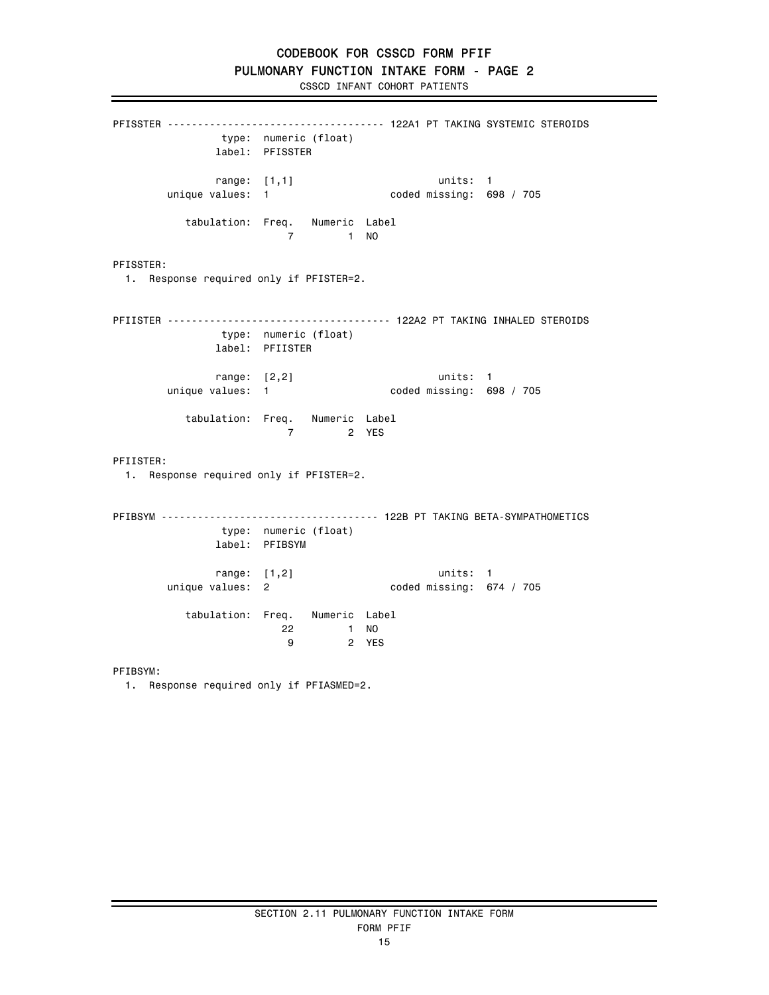CSSCD INFANT COHORT PATIENTS

PFISSTER ------------------------------------ 122A1 PT TAKING SYSTEMIC STEROIDS type: numeric (float) label: PFISSTER range: [1,1] units: 1<br>unique values: 1 coded missing: 69 coded missing: 698 / 705 tabulation: Freq. Numeric Label 7 1 NO PFISSTER: 1. Response required only if PFISTER=2. PFIISTER ------------------------------------- 122A2 PT TAKING INHALED STEROIDS type: numeric (float) label: PFIISTER range: [2,2] units: 1 unique values: 1 coded missing: 698 / 705 tabulation: Freq. Numeric Label 7 2 YES PFIISTER: 1. Response required only if PFISTER=2. PFIBSYM ------------------------------------ 122B PT TAKING BETA-SYMPATHOMETICS type: numeric (float) label: PFIBSYM range: [1,2] units: 1 unique values: 2 coded missing: 674 / 705 tabulation: Freq. Numeric Label 22 1 NO<br>9 2 YES 2 YES

PFIBSYM:

1. Response required only if PFIASMED=2.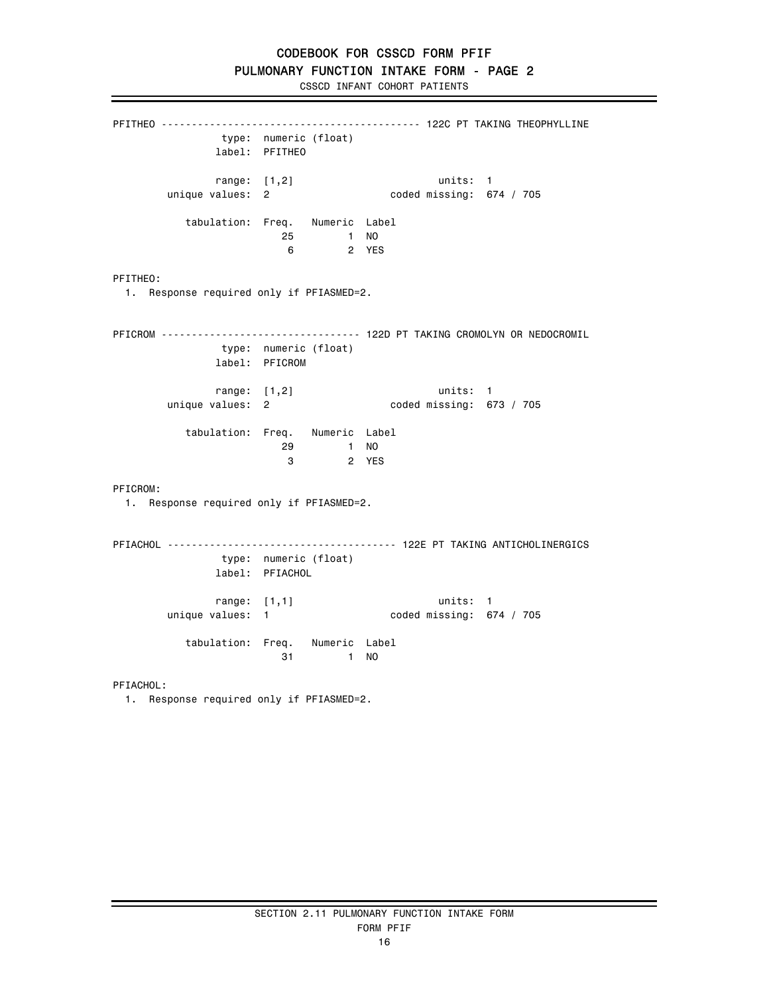CSSCD INFANT COHORT PATIENTS

PFITHEO ------------------------------------------- 122C PT TAKING THEOPHYLLINE type: numeric (float) label: PFITHEO range: [1,2] units: 1 unique values: 2 coded missing: 674 / 705 tabulation: Freq. Numeric Label 25 1 NO<br>6 2 YES 2 YES PFITHEO: 1. Response required only if PFIASMED=2. PFICROM --------------------------------- 122D PT TAKING CROMOLYN OR NEDOCROMIL type: numeric (float) label: PFICROM range: [1,2] units: 1 unique values: 2 coded missing: 673 / 705 tabulation: Freq. Numeric Label 29 1 NO 3 2 YES PFICROM: 1. Response required only if PFIASMED=2. PFIACHOL -------------------------------------- 122E PT TAKING ANTICHOLINERGICS type: numeric (float) label: PFIACHOL range: [1,1] units: 1 unique values: 1 coded missing: 674 / 705 tabulation: Freq. Numeric Label 31 1 NO PFIACHOL: 1. Response required only if PFIASMED=2.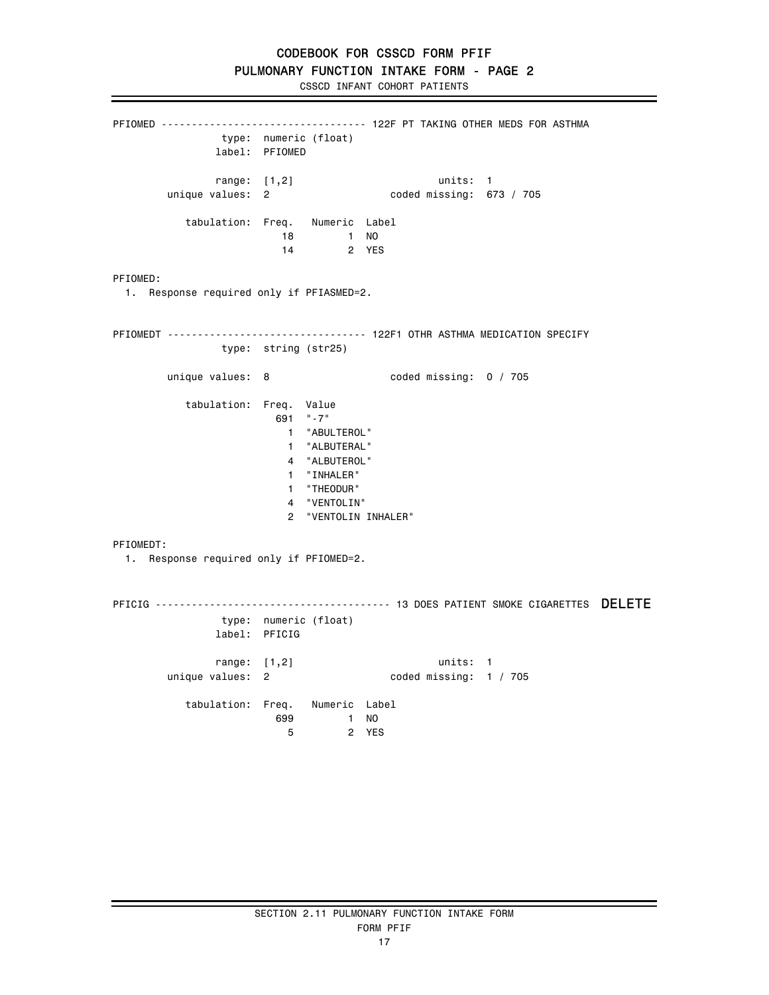PFIOMED ---------------------------------- 122F PT TAKING OTHER MEDS FOR ASTHMA type: numeric (float) label: PFIOMED range: [1,2] units: 1 unique values: 2 coded missing: 673 / 705 tabulation: Freq. Numeric Label 18 1 NO 14 2 YES PFIOMED: 1. Response required only if PFIASMED=2. PFIOMEDT --------------------------------- 122F1 OTHR ASTHMA MEDICATION SPECIFY type: string (str25) unique values: 8 coded missing: 0 / 705 tabulation: Freq. Value 691 "-7" 1 "ABULTEROL" 1 "ALBUTERAL" 4 "ALBUTEROL" 1 "INHALER" 1 "THEODUR" 4 "VENTOLIN" 2 "VENTOLIN INHALER" PFIOMEDT: 1. Response required only if PFIOMED=2. PFICIG --------------------------------------- 13 DOES PATIENT SMOKE CIGARETTES DELETE type: numeric (float) label: PFICIG range: [1,2] units: 1<br>1 coded missing: 1 unique values: 2 coded missing: 1 / 705 tabulation: Freq. Numeric Label 699 1 NO 5 2 YES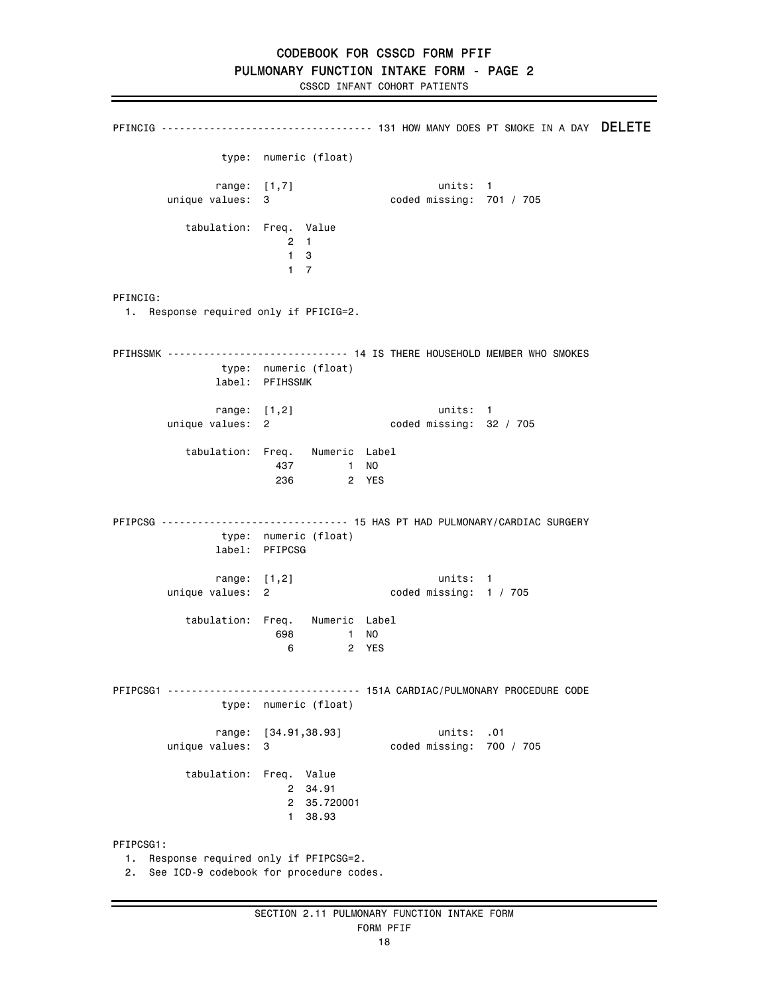PFINCIG -------------------------------- 131 HOW MANY DOES PT SMOKE IN A DAY DELETE type: numeric (float) range: [1,7] units: 1<br>unique values: 3 coded missing: 7 coded missing: 701 / 705 tabulation: Freq. Value 2 1  $\begin{array}{cc} 1 & 3 \\ 1 & 7 \end{array}$  1 7 PFINCIG: 1. Response required only if PFICIG=2. PFIHSSMK ------------------------------ 14 IS THERE HOUSEHOLD MEMBER WHO SMOKES type: numeric (float) label: PFIHSSMK range: [1,2] units: 1<br>43 unique values: 2 unique values: 2 coded missing: 32 / 705 tabulation: Freq. Numeric Label 437 1 NO 236 2 YES PFIPCSG ------------------------------- 15 HAS PT HAD PULMONARY/CARDIAC SURGERY type: numeric (float) label: PFIPCSG range: [1,2] units: 1 unique values: 2 coded missing: 1 / 705 tabulation: Freq. Numeric Label 698 1 NO 6 2 YES PFIPCSG1 -------------------------------- 151A CARDIAC/PULMONARY PROCEDURE CODE type: numeric (float) range: [34.91,38.93] units: .01 unique values: 3 coded missing: 700 / 705 tabulation: Freq. Value 2 34.91 2 35.720001 1 38.93 PFIPCSG1: 1. Response required only if PFIPCSG=2. 2. See ICD-9 codebook for procedure codes.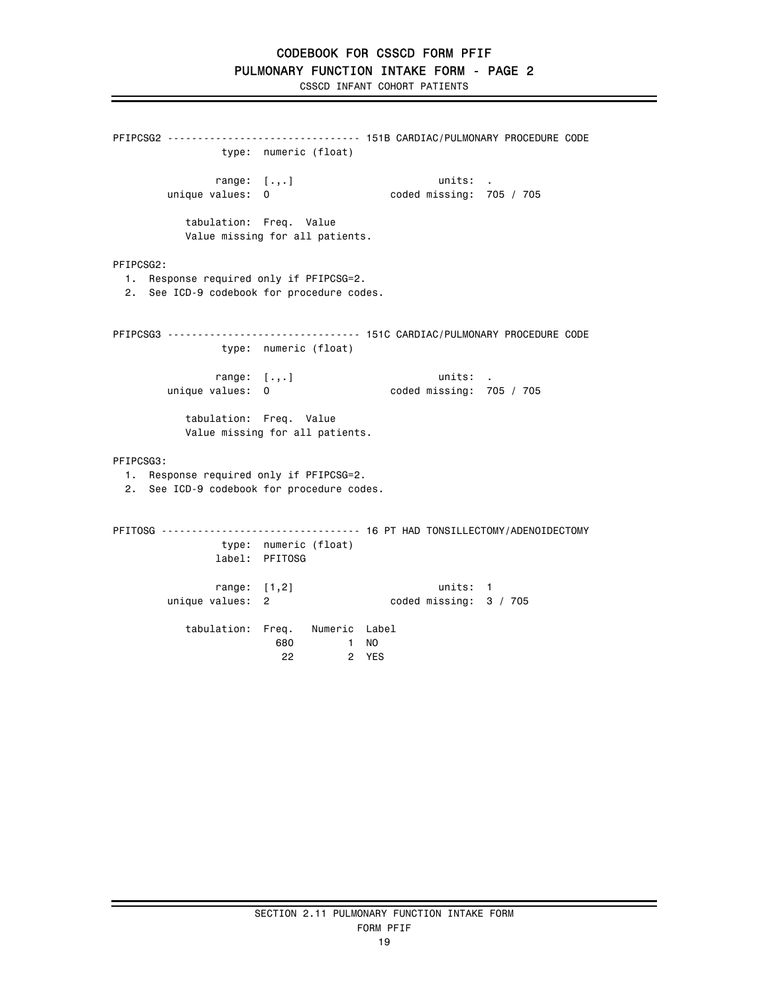```
PFIPCSG2 -------------------------------- 151B CARDIAC/PULMONARY PROCEDURE CODE 
                type: numeric (float) 
               range: [.,.] units: . 
       unique values: 0 coded missing: 705 / 705
           tabulation: Freq. Value 
           Value missing for all patients. 
PFIPCSG2: 
  1. Response required only if PFIPCSG=2. 
  2. See ICD-9 codebook for procedure codes. 
PFIPCSG3 -------------------------------- 151C CARDIAC/PULMONARY PROCEDURE CODE 
               type: numeric (float) 
        range: [.,.] units: . 
                                     coded missing: 705 / 705 tabulation: Freq. Value 
           Value missing for all patients. 
PFIPCSG3: 
  1. Response required only if PFIPCSG=2. 
  2. See ICD-9 codebook for procedure codes. 
PFITOSG --------------------------------- 16 PT HAD TONSILLECTOMY/ADENOIDECTOMY 
               type: numeric (float) 
               label: PFITOSG 
 range: [1,2] units: 1 
 unique values: 2 coded missing: 3 / 705 
           tabulation: Freq. Numeric Label 
                       680 1 NO 
                        22 2 YES
```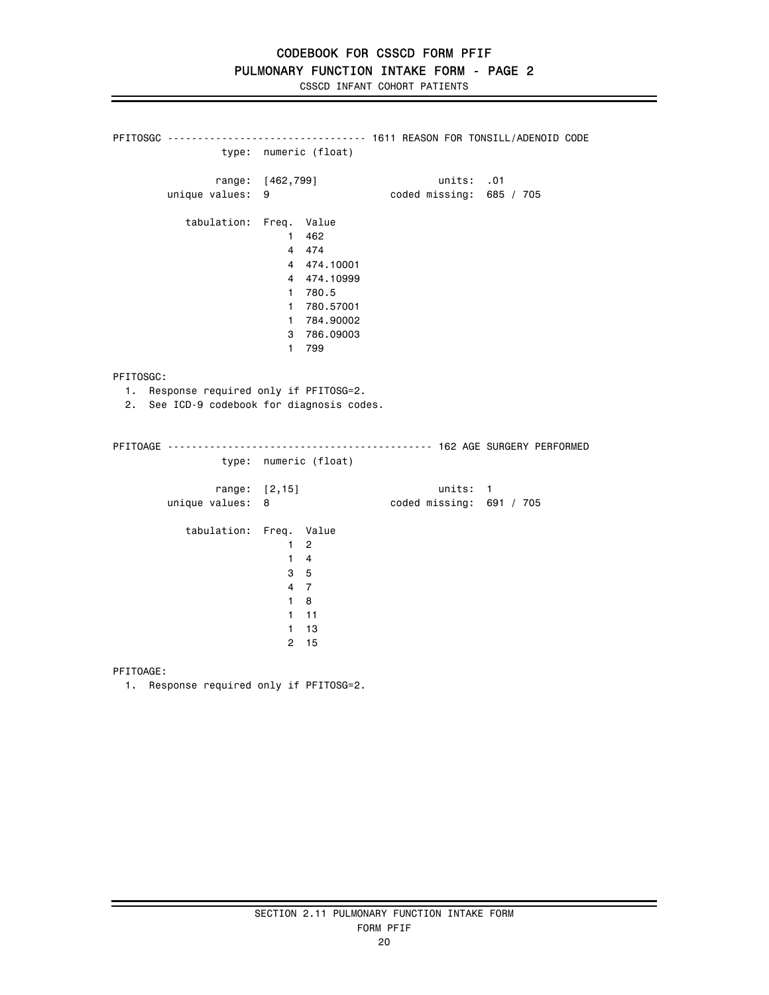PFITOSGC --------------------------------- 1611 REASON FOR TONSILL/ADENOID CODE type: numeric (float) range: [462,799] units: .01 unique values: 9 coded missing: 685 / 705 tabulation: Freq. Value 1 462 4 474 4 474.10001 4 474.10999 1 780.5 1 780.57001 1 784.90002 3 786.09003 1 799 PFITOSGC: 1. Response required only if PFITOSG=2. 2. See ICD-9 codebook for diagnosis codes. PFITOAGE -------------------------------------------- 162 AGE SURGERY PERFORMED type: numeric (float) range: [2,15] units: 1 coded missing:  $691 / 705$  tabulation: Freq. Value 1 2 1 4 3 5 4 7 1 8 1 11 1 13 2 15

PFITOAGE:

1. Response required only if PFITOSG=2.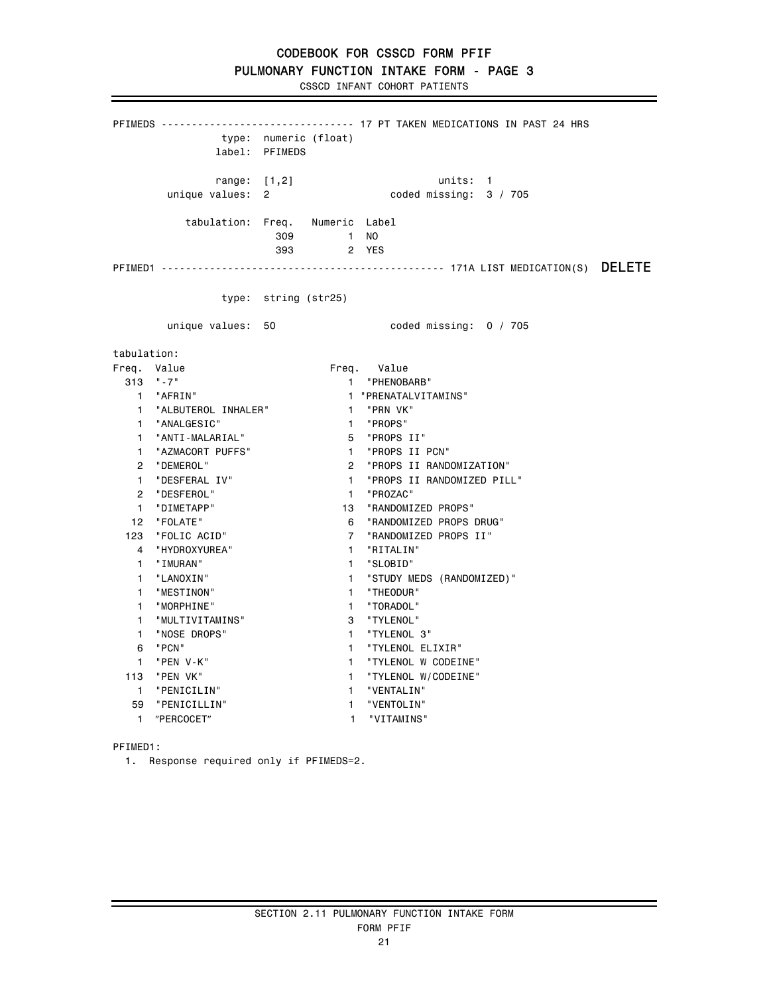CSSCD INFANT COHORT PATIENTS

PFIMEDS -------------------------------- 17 PT TAKEN MEDICATIONS IN PAST 24 HRS type: numeric (float) label: PFIMEDS range: [1,2] units: 1 unique values: 2 coded missing: 3 / 705 tabulation: Freq. Numeric Label 309 1 NO 393 2 YES PFIMED1 ----------------------------------------------- 171A LIST MEDICATION(S) DELETE type: string (str25) unique values: 50 coded missing: 0 / 705 tabulation: Freq. Value **Freq.** Value 313 "-7" 1 "PHENOBARB" 1 "PRENATALVITAMINS"<br>1 "PRN VK" 1 "ALBUTEROL INHALER" 1 "PRN VK<br>1 "ANALGESIC" 1 "PROPS" 1 "ANALGESIC" 1 "ANTI-MALARIAL" 1 "AZMACORT PUFFS"<br>1 "AZMACORT PUFFS"<br>2 "DEMEROL" 5 "PROPS II"<br>1 "PROPS II PCN"<br>2 "PROPS II RANDOMIZATION"<br>1 "PROPS II RANDOMIZED PILL" 1 "DESFERAL IV" 1 "PROPS II RANDOMIZED PILL" 2 "DESFEROL" 1 "PROZAC" 1 "DIMETAPP" 13 "RANDOMIZED PROPS" 12 "FOLATE" 6 "RANDOMIZED PROPS DRUG" 7 "RANDOMIZED PROPS II" 4 "HYDROXYUREA" 1 "RITALIN" 1 "IMURAN" 1 "SLOBID" 1 "LANOXIN" 1 "STUDY MEDS (RANDOMIZED)" 1 "MESTINON" 1 "THEODUR" 1 "MORPHINE" 1 "TORADOL" 1 "MULTIVITAMINS" 3 "TYLENOL" 1 "NOSE DROPS" 1 "TYLENOL 3"<br>6 "PCN" 1 "TYLENOL EL 6 "PCN" 1 "TYLENOL ELIXIR" 1 "PEN V-K" 1 "TYLENOL W CODEINE"<br>113 "PEN VK" 113 1 "TYLENOL W/CODEINE" 1 "TYLENOL W/CODEINE" 1 "PENICILIN" 1 "VENTALIN" 59 "PENICILLIN" 1 "VENTOLIN" 1 "PERCOCET" 1 "VITAMINS"

PFIMED1:

1. Response required only if PFIMEDS=2.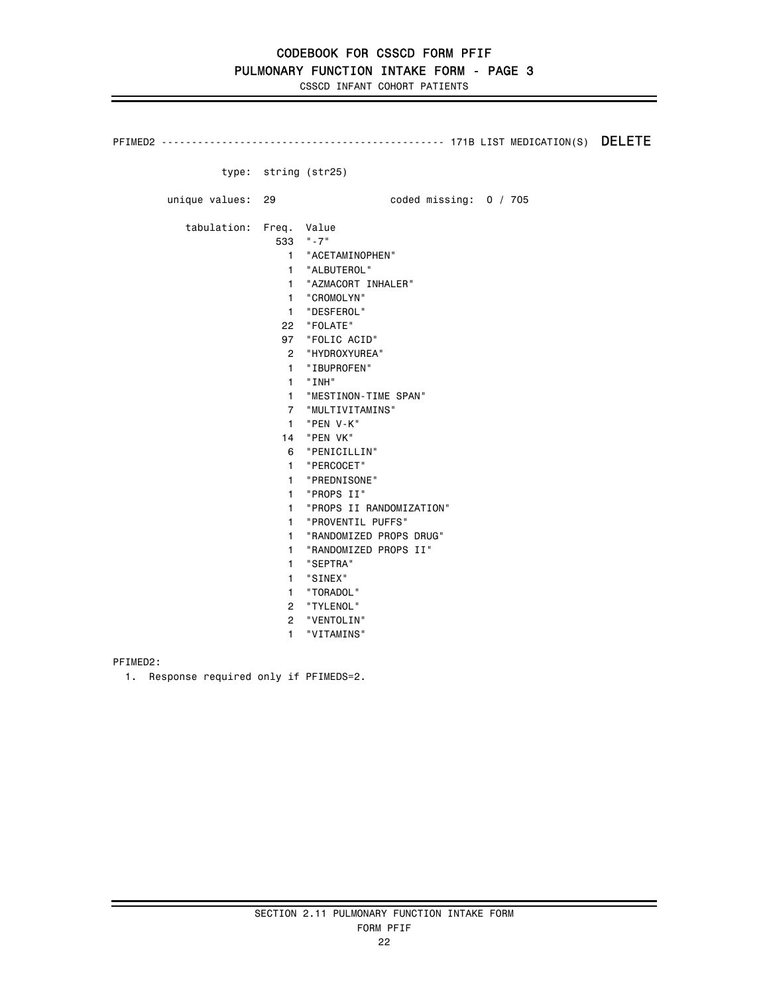PFIMED2 ----------------------------------------------- 171B LIST MEDICATION(S) DELETE type: string (str25) unique values: 29 and the coded missing: 0 / 705 tabulation: Freq. Value 533 "-7" 1 "ACETAMINOPHEN" 1 "ALBUTEROL" 1 "AZMACORT INHALER" 1 "CROMOLYN" 1 "DESFEROL" 22 "FOLATE" 97 "FOLIC ACID" 2 "HYDROXYUREA" 1 "IBUPROFEN" 1 "INH" 1 "MESTINON-TIME SPAN" 7 "MULTIVITAMINS" 1 "PEN V-K" 14 "PEN VK" 6 "PENICILLIN" 1 "PERCOCET" 1 "PREDNISONE" 1 "PROPS II" 1 "PROPS II RANDOMIZATION" 1 "PROVENTIL PUFFS" 1 "RANDOMIZED PROPS DRUG" 1 "RANDOMIZED PROPS II" 1 "SEPTRA" 1 "SINEX" 1 "TORADOL" 2 "TYLENOL" 2 "VENTOLIN" 1 "VITAMINS"

PFIMED2:

1. Response required only if PFIMEDS=2.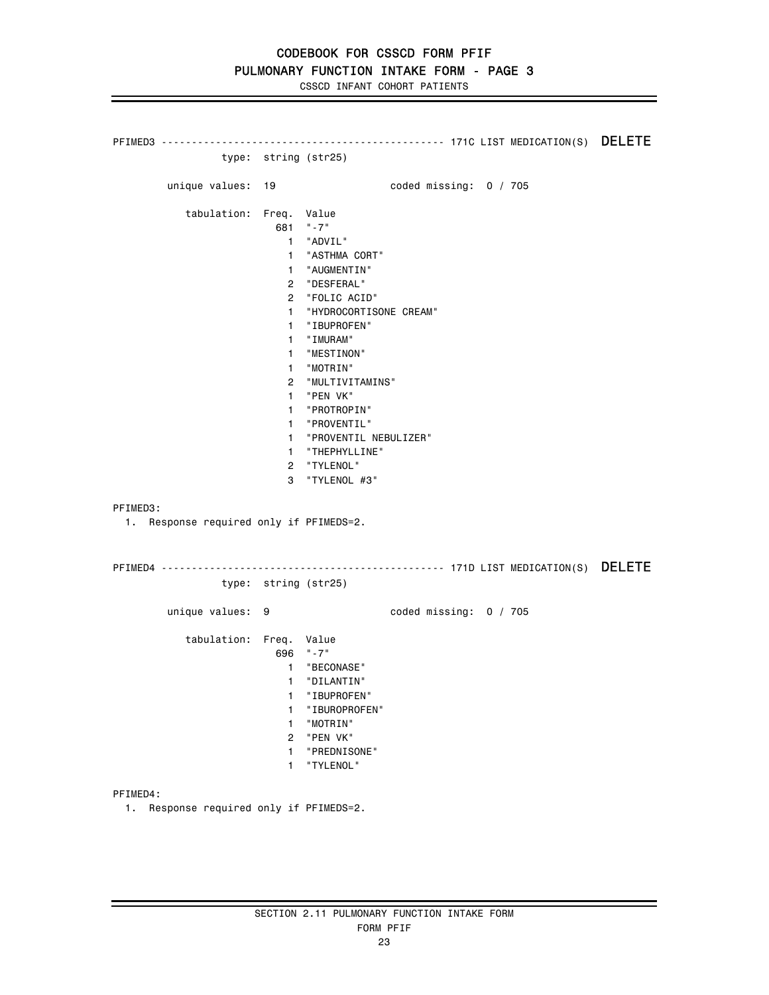PFIMED3 ----------------------------------------------- 171C LIST MEDICATION(S) DELETE type: string (str25) unique values: 19 coded missing: 0 / 705 tabulation: Freq. Value 681 "-7" 1 "ADVIL" 1 "ASTHMA CORT" 1 "AUGMENTIN" 2 "DESFERAL" 2 "FOLIC ACID" 1 "HYDROCORTISONE CREAM" 1 "IBUPROFEN" 1 "IMURAM" 1 "MESTINON" 1 "MOTRIN" 2 "MULTIVITAMINS" 1 "PEN VK" 1 "PROTROPIN" 1 "PROVENTIL" 1 "PROVENTIL NEBULIZER" 1 "THEPHYLLINE" 2 "TYLENOL" 3 "TYLENOL #3" PFIMED3: 1. Response required only if PFIMEDS=2. PFIMED4 ----------------------------------------------- 171D LIST MEDICATION(S) DELETE type: string (str25) unique values: 9 coded missing: 0 / 705 tabulation: Freq. Value 696 "-7" 1 "BECONASE" 1 "DILANTIN" 1 "IBUPROFEN" 1 "IBUROPROFEN" 1 "MOTRIN" 2 "PEN VK" 1 "PREDNISONE" 1 "TYLENOL" PFIMED4:

1. Response required only if PFIMEDS=2.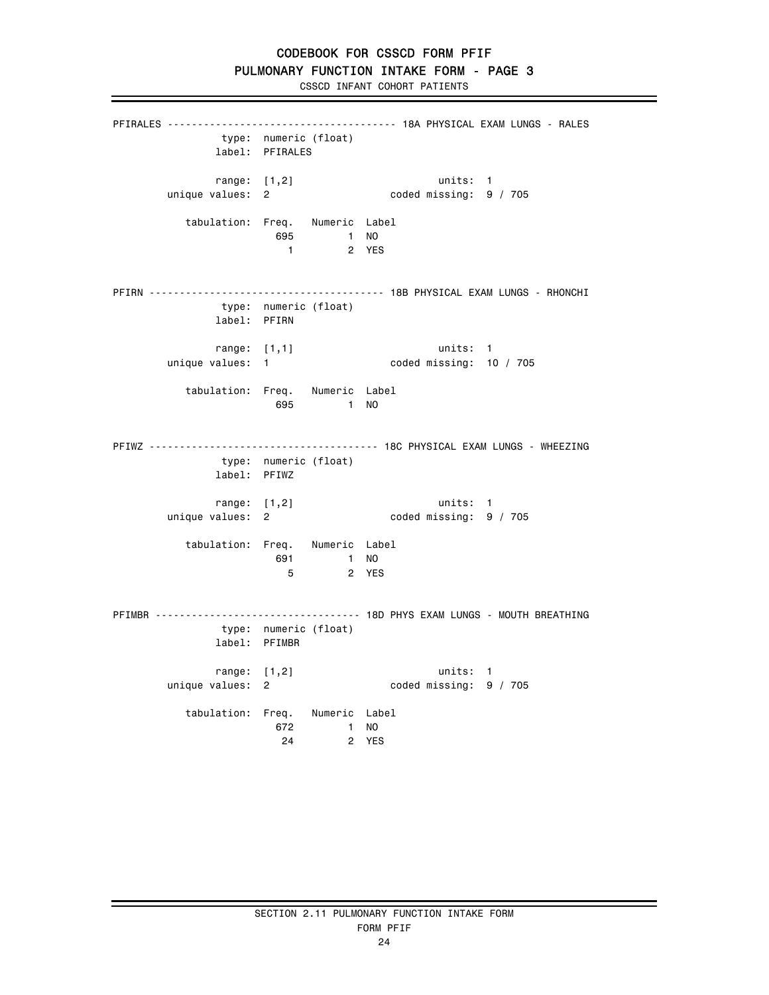CSSCD INFANT COHORT PATIENTS

PFIRALES -------------------------------------- 18A PHYSICAL EXAM LUNGS - RALES type: numeric (float) label: PFIRALES range: [1,2] units: 1 unique values: 2 coded missing: 9 / 705 tabulation: Freq. Numeric Label 695 1 NO 2 YES PFIRN --------------------------------------- 18B PHYSICAL EXAM LUNGS - RHONCHI type: numeric (float) label: PFIRN range: [1,1] units: 1 unique values: 1 coded missing: 10 / 705 tabulation: Freq. Numeric Label 695 1 NO PFIWZ -------------------------------------- 18C PHYSICAL EXAM LUNGS - WHEEZING type: numeric (float) label: PFIWZ range: [1,2] units: 1<br>unique values: 2 coded missing: 9 coded missing: 9 / 705 tabulation: Freq. Numeric Label 691 1 NO 5 2 YES PFIMBR ---------------------------------- 18D PHYS EXAM LUNGS - MOUTH BREATHING type: numeric (float) label: PFIMBR range: [1,2] units: 1 unique values: 2 coded missing: 9 / 705 tabulation: Freq. Numeric Label 672 1 NO **24** 2 YES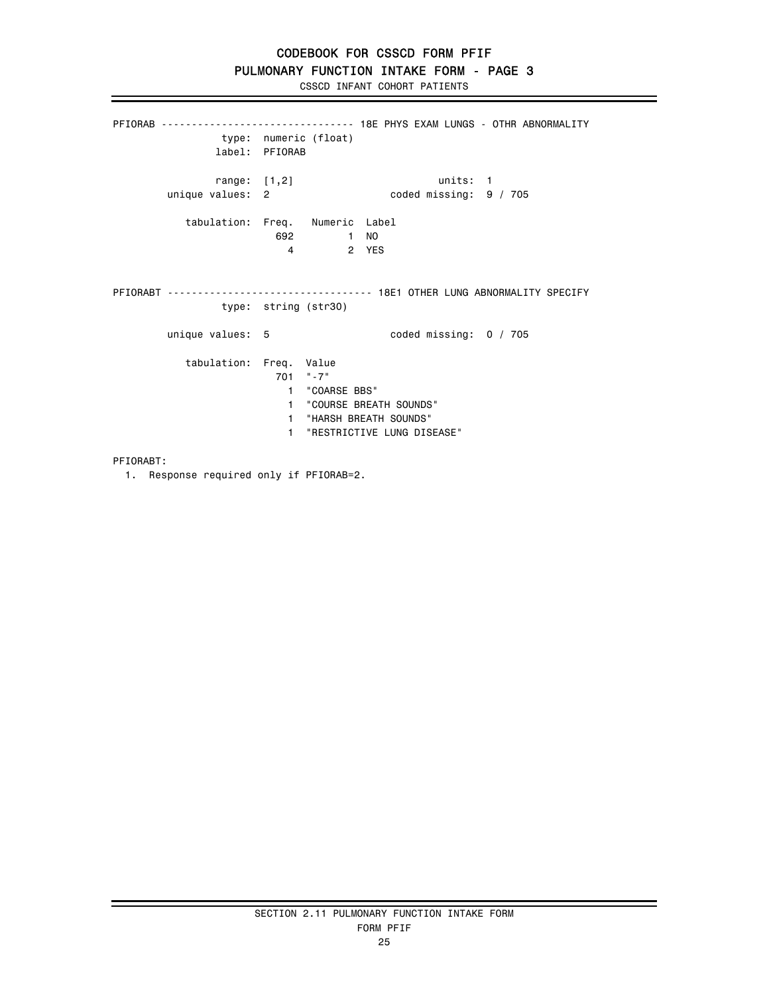PFIORAB -------------------------------- 18E PHYS EXAM LUNGS - OTHR ABNORMALITY type: numeric (float) label: PFIORAB range: [1,2] units: 1 unique values: 2 coded missing: 9 / 705 tabulation: Freq. Numeric Label 692 1 NO 2 YES PFIORABT ---------------------------------- 18E1 OTHER LUNG ABNORMALITY SPECIFY type: string (str30) unique values: 5 coded missing: 0 / 705 tabulation: Freq. Value 701 "-7" 1 "COARSE BBS" 1 "COURSE BREATH SOUNDS" 1 "HARSH BREATH SOUNDS" 1 "RESTRICTIVE LUNG DISEASE"

PFIORABT:

1. Response required only if PFIORAB=2.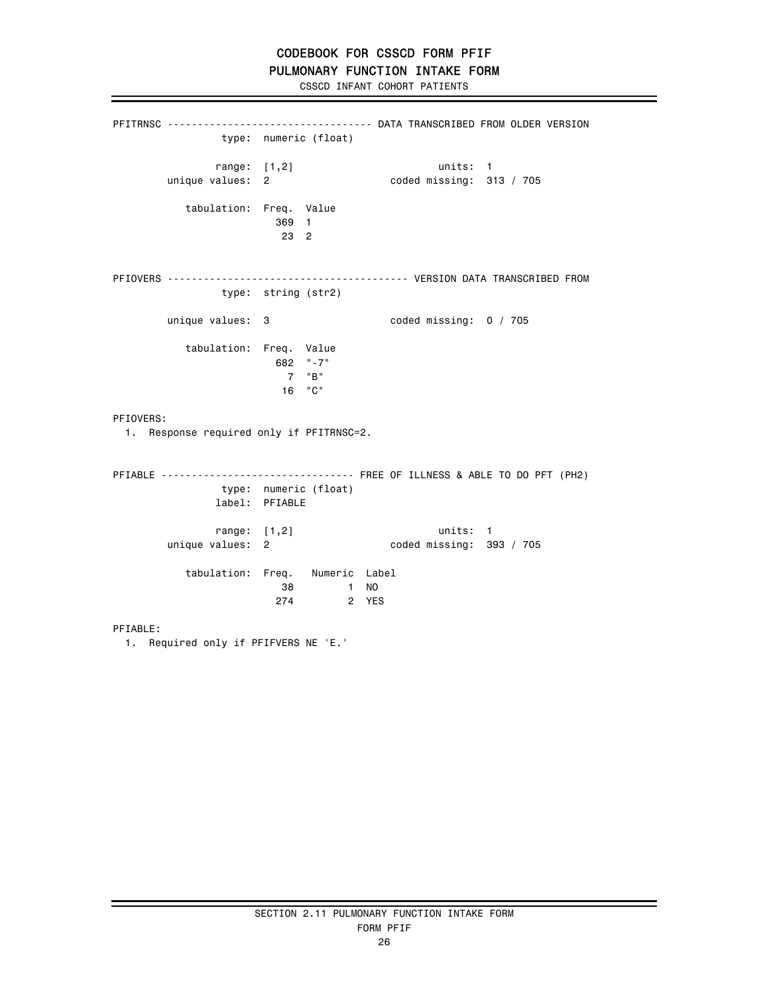### PULMONARY FUNCTION INTAKE FORM

CSSCD INFANT COHORT PATIENTS

PFITRNSC ---------------------------------- DATA TRANSCRIBED FROM OLDER VERSION type: numeric (float) range: [1,2] units: 1 unique values: 2 coded missing: 313 / 705 tabulation: Freq. Value 369 1 23 2 PFIOVERS ---------------------------------------- VERSION DATA TRANSCRIBED FROM type: string (str2) unique values: 3 coded missing: 0 / 705 tabulation: Freq. Value 682 "-7" 7 "B" 16 "C" PFIOVERS: 1. Response required only if PFITRNSC=2. PFIABLE -------------------------------- FREE OF ILLNESS & ABLE TO DO PFT (PH2) type: numeric (float) label: PFIABLE range: [1,2] units: 1 unique values: 2 coded missing: 393 / 705 tabulation: Freq. Numeric Label 38 1 NO 274 2 YES PFIABLE: 1. Required only if PFIFVERS NE 'E.'

## SECTION 2.11 PULMONARY FUNCTION INTAKE FORM FORM PFIF